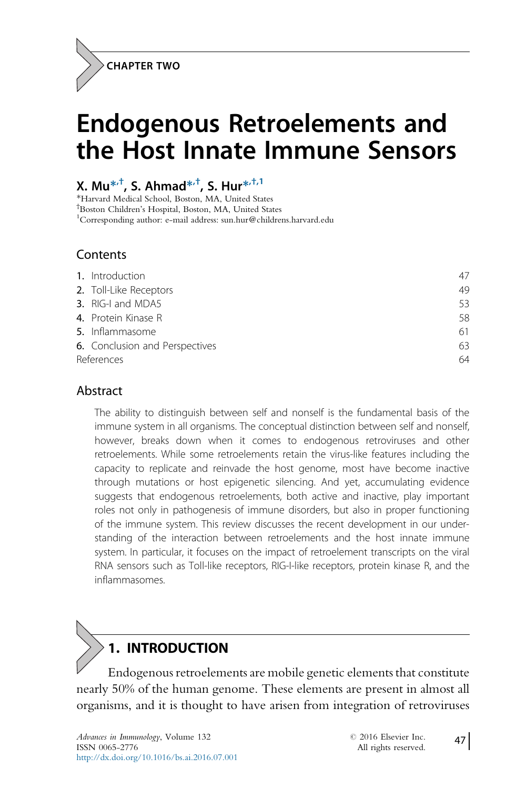# <span id="page-0-0"></span>CHAPTER TWO

## Endogenous Retroelements and the Host Innate Immune Sensors

#### X. Mu $^{\ast,\dagger}$ , S. Ahmad $^{\ast,\dagger}$ , S. Hur $^{\ast,\dagger,1}$

\*Harvard Medical School, Boston, MA, United States † Boston Children's Hospital, Boston, MA, United States 1 Corresponding author: e-mail address: sun.hur@childrens.harvard.edu

#### **Contents**

|            | 1. Introduction                       | 47 |
|------------|---------------------------------------|----|
|            | 2. Toll-Like Receptors                | 49 |
|            | 3. RIG-I and MDA5                     | 53 |
|            | 4. Protein Kinase R                   | 58 |
|            | 5. Inflammasome                       | 61 |
|            | <b>6.</b> Conclusion and Perspectives | 63 |
| References |                                       | 64 |

#### Abstract

The ability to distinguish between self and nonself is the fundamental basis of the immune system in all organisms. The conceptual distinction between self and nonself, however, breaks down when it comes to endogenous retroviruses and other retroelements. While some retroelements retain the virus-like features including the capacity to replicate and reinvade the host genome, most have become inactive through mutations or host epigenetic silencing. And yet, accumulating evidence suggests that endogenous retroelements, both active and inactive, play important roles not only in pathogenesis of immune disorders, but also in proper functioning of the immune system. This review discusses the recent development in our understanding of the interaction between retroelements and the host innate immune system. In particular, it focuses on the impact of retroelement transcripts on the viral RNA sensors such as Toll-like receptors, RIG-I-like receptors, protein kinase R, and the inflammasomes.

### 1. INTRODUCTION

Endogenous retroelements are mobile genetic elements that constitute nearly 50% of the human genome. These elements are present in almost all organisms, and it is thought to have arisen from integration of retroviruses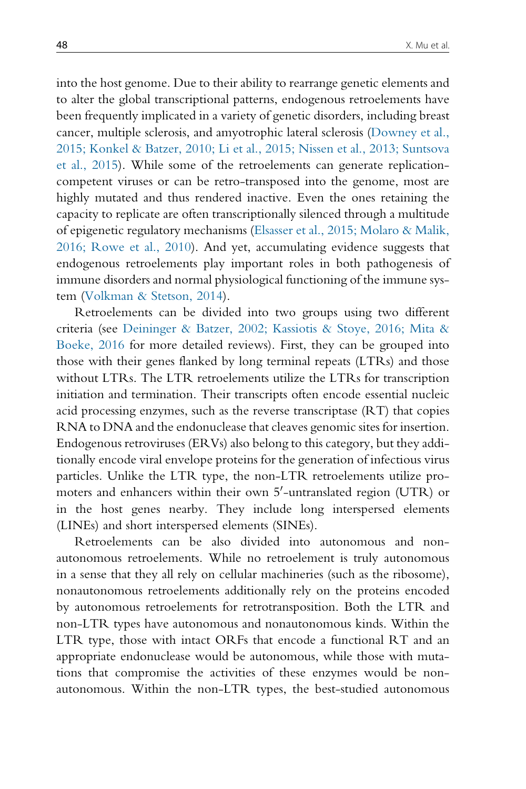into the host genome. Due to their ability to rearrange genetic elements and to alter the global transcriptional patterns, endogenous retroelements have been frequently implicated in a variety of genetic disorders, including breast cancer, multiple sclerosis, and amyotrophic lateral sclerosis ([Downey et al.,](#page-18-0) 2015; [Konkel & Batzer, 2010; Li et al., 2015; Nissen et al., 2013; Suntsova](#page-18-0) [et al., 2015\)](#page-18-0). While some of the retroelements can generate replicationcompetent viruses or can be retro-transposed into the genome, most are highly mutated and thus rendered inactive. Even the ones retaining the capacity to replicate are often transcriptionally silenced through a multitude of epigenetic regulatory mechanisms ([Elsasser et al., 2015; Molaro & Malik,](#page-18-0) 2016; [Rowe et al., 2010\)](#page-18-0). And yet, accumulating evidence suggests that endogenous retroelements play important roles in both pathogenesis of immune disorders and normal physiological functioning of the immune system ([Volkman & Stetson, 2014\)](#page-22-0).

Retroelements can be divided into two groups using two different criteria (see [Deininger & Batzer, 2002; Kassiotis & Stoye, 2016; Mita &](#page-18-0) [Boeke,](#page-18-0) 2016 for more detailed reviews). First, they can be grouped into those with their genes flanked by long terminal repeats (LTRs) and those without LTRs. The LTR retroelements utilize the LTRs for transcription initiation and termination. Their transcripts often encode essential nucleic acid processing enzymes, such as the reverse transcriptase (RT) that copies RNA to DNA and the endonuclease that cleaves genomic sites for insertion. Endogenous retroviruses (ERVs) also belong to this category, but they additionally encode viral envelope proteins for the generation of infectious virus particles. Unlike the LTR type, the non-LTR retroelements utilize promoters and enhancers within their own 5'-untranslated region (UTR) or in the host genes nearby. They include long interspersed elements (LINEs) and short interspersed elements (SINEs).

Retroelements can be also divided into autonomous and nonautonomous retroelements. While no retroelement is truly autonomous in a sense that they all rely on cellular machineries (such as the ribosome), nonautonomous retroelements additionally rely on the proteins encoded by autonomous retroelements for retrotransposition. Both the LTR and non-LTR types have autonomous and nonautonomous kinds. Within the LTR type, those with intact ORFs that encode a functional RT and an appropriate endonuclease would be autonomous, while those with mutations that compromise the activities of these enzymes would be nonautonomous. Within the non-LTR types, the best-studied autonomous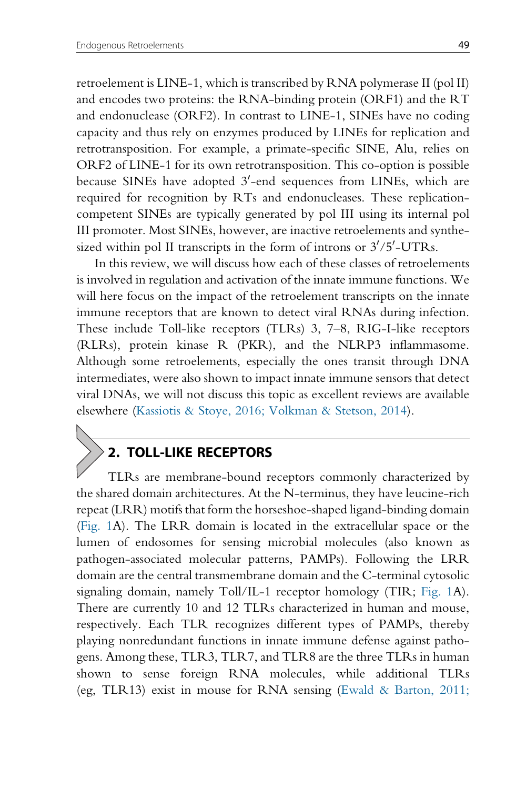retroelement is LINE-1, which is transcribed by RNA polymerase II (pol II) and encodes two proteins: the RNA-binding protein (ORF1) and the RT and endonuclease (ORF2). In contrast to LINE-1, SINEs have no coding capacity and thus rely on enzymes produced by LINEs for replication and retrotransposition. For example, a primate-specific SINE, Alu, relies on ORF2 of LINE-1 for its own retrotransposition. This co-option is possible because SINEs have adopted 3'-end sequences from LINEs, which are required for recognition by RTs and endonucleases. These replicationcompetent SINEs are typically generated by pol III using its internal pol III promoter. Most SINEs, however, are inactive retroelements and synthesized within pol II transcripts in the form of introns or  $3'/5'$ -UTRs.

In this review, we will discuss how each of these classes of retroelements is involved in regulation and activation of the innate immune functions. We will here focus on the impact of the retroelement transcripts on the innate immune receptors that are known to detect viral RNAs during infection. These include Toll-like receptors (TLRs) 3, 7–8, RIG-I-like receptors (RLRs), protein kinase R (PKR), and the NLRP3 inflammasome. Although some retroelements, especially the ones transit through DNA intermediates, were also shown to impact innate immune sensors that detect viral DNAs, we will not discuss this topic as excellent reviews are available elsewhere ([Kassiotis & Stoye, 2016; Volkman & Stetson, 2014](#page-19-0)).

#### 2. TOLL-LIKE RECEPTORS

TLRs are membrane-bound receptors commonly characterized by the shared domain architectures. At the N-terminus, they have leucine-rich repeat (LRR) motifs that form the horseshoe-shaped ligand-binding domain [\(Fig. 1](#page-3-0)A). The LRR domain is located in the extracellular space or the lumen of endosomes for sensing microbial molecules (also known as pathogen-associated molecular patterns, PAMPs). Following the LRR domain are the central transmembrane domain and the C-terminal cytosolic signaling domain, namely Toll/IL-1 receptor homology (TIR; [Fig. 1A](#page-3-0)). There are currently 10 and 12 TLRs characterized in human and mouse, respectively. Each TLR recognizes different types of PAMPs, thereby playing nonredundant functions in innate immune defense against pathogens. Among these, TLR3, TLR7, and TLR8 are the three TLRs in human shown to sense foreign RNA molecules, while additional TLRs (eg, TLR13) exist in mouse for RNA sensing ([Ewald & Barton, 2011;](#page-18-0)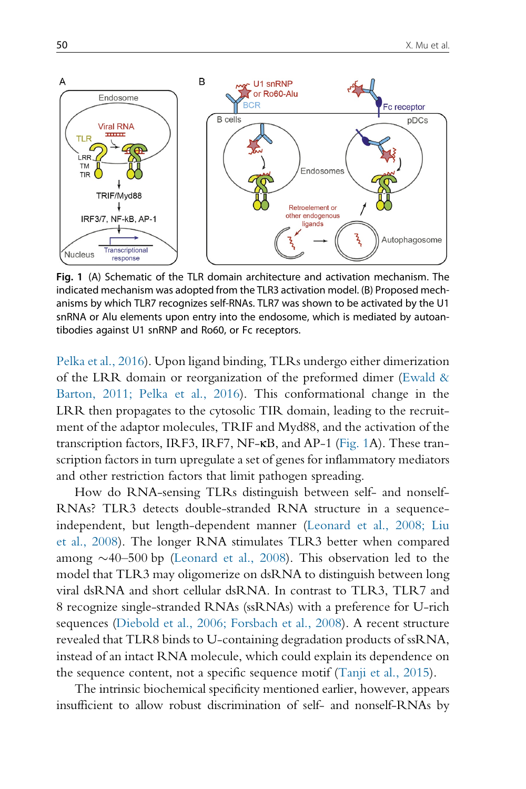<span id="page-3-0"></span>

Fig. 1 (A) Schematic of the TLR domain architecture and activation mechanism. The indicated mechanism was adopted from the TLR3 activation model. (B) Proposed mechanisms by which TLR7 recognizes self-RNAs. TLR7 was shown to be activated by the U1 snRNA or Alu elements upon entry into the endosome, which is mediated by autoantibodies against U1 snRNP and Ro60, or Fc receptors.

[Pelka et al., 2016](#page-18-0)). Upon ligand binding, TLRs undergo either dimerization of the LRR domain or reorganization of the preformed dimer [\(Ewald &](#page-18-0) [Barton, 2011; Pelka et al., 2016\)](#page-18-0). This conformational change in the LRR then propagates to the cytosolic TIR domain, leading to the recruitment of the adaptor molecules, TRIF and Myd88, and the activation of the transcription factors, IRF3, IRF7, NF-κB, and AP-1 (Fig. 1A). These transcription factors in turn upregulate a set of genes for inflammatory mediators and other restriction factors that limit pathogen spreading.

How do RNA-sensing TLRs distinguish between self- and nonself-RNAs? TLR3 detects double-stranded RNA structure in a sequenceindependent, but length-dependent manner [\(Leonard et al., 2008; Liu](#page-20-0) [et al., 2008\)](#page-20-0). The longer RNA stimulates TLR3 better when compared among  $\sim$ 40–500 bp ([Leonard et al., 2008\)](#page-20-0). This observation led to the model that TLR3 may oligomerize on dsRNA to distinguish between long viral dsRNA and short cellular dsRNA. In contrast to TLR3, TLR7 and 8 recognize single-stranded RNAs (ssRNAs) with a preference for U-rich sequences ([Diebold et al., 2006; Forsbach et al., 2008\)](#page-18-0). A recent structure revealed that TLR8 binds to U-containing degradation products of ssRNA, instead of an intact RNA molecule, which could explain its dependence on the sequence content, not a specific sequence motif ([Tanji et al., 2015\)](#page-22-0).

The intrinsic biochemical specificity mentioned earlier, however, appears insufficient to allow robust discrimination of self- and nonself-RNAs by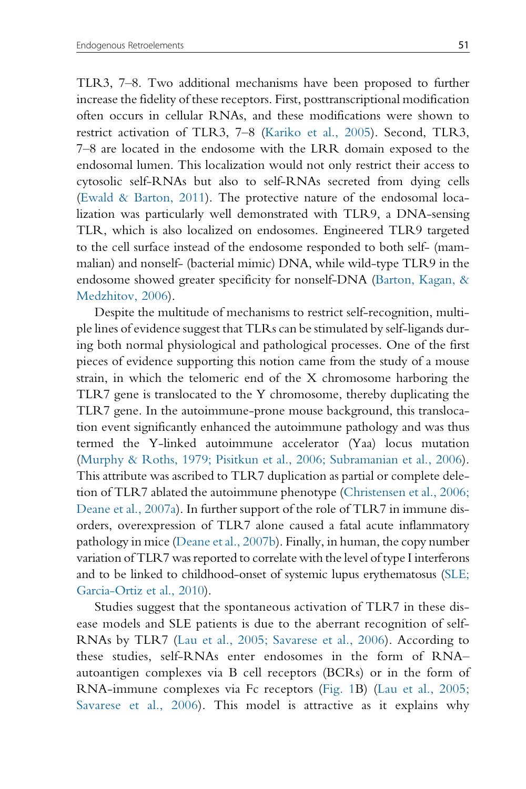TLR3, 7–8. Two additional mechanisms have been proposed to further increase the fidelity of these receptors. First, posttranscriptional modification often occurs in cellular RNAs, and these modifications were shown to restrict activation of TLR3, 7–8 ([Kariko et al., 2005](#page-19-0)). Second, TLR3, 7–8 are located in the endosome with the LRR domain exposed to the endosomal lumen. This localization would not only restrict their access to cytosolic self-RNAs but also to self-RNAs secreted from dying cells [\(Ewald & Barton, 2011](#page-18-0)). The protective nature of the endosomal localization was particularly well demonstrated with TLR9, a DNA-sensing TLR, which is also localized on endosomes. Engineered TLR9 targeted to the cell surface instead of the endosome responded to both self- (mammalian) and nonself- (bacterial mimic) DNA, while wild-type TLR9 in the endosome showed greater specificity for nonself-DNA [\(Barton, Kagan, &](#page-17-0) [Medzhitov,](#page-17-0) 2006).

Despite the multitude of mechanisms to restrict self-recognition, multiple lines of evidence suggest that TLRs can be stimulated by self-ligands during both normal physiological and pathological processes. One of the first pieces of evidence supporting this notion came from the study of a mouse strain, in which the telomeric end of the X chromosome harboring the TLR7 gene is translocated to the Y chromosome, thereby duplicating the TLR7 gene. In the autoimmune-prone mouse background, this translocation event significantly enhanced the autoimmune pathology and was thus termed the Y-linked autoimmune accelerator (Yaa) locus mutation [\(Murphy & Roths, 1979; Pisitkun et al., 2006; Subramanian et al., 2006](#page-21-0)). This attribute was ascribed to TLR7 duplication as partial or complete deletion of TLR7 ablated the autoimmune phenotype [\(Christensen et al., 2006;](#page-18-0) Deane [et al., 2007a\)](#page-18-0). In further support of the role of TLR7 in immune disorders, overexpression of TLR7 alone caused a fatal acute inflammatory pathology in mice ([Deane et al., 2007b](#page-18-0)). Finally, in human, the copy number variation of TLR7 was reported to correlate with the level of type I interferons and to be linked to childhood-onset of systemic lupus erythematosus [\(SLE;](#page-18-0) [Garcia-Ortiz et al., 2010\)](#page-18-0).

Studies suggest that the spontaneous activation of TLR7 in these disease models and SLE patients is due to the aberrant recognition of self-RNAs by TLR7 ([Lau et al., 2005; Savarese et al., 2006\)](#page-19-0). According to these studies, self-RNAs enter endosomes in the form of RNA– autoantigen complexes via B cell receptors (BCRs) or in the form of RNA-immune complexes via Fc receptors ([Fig. 1B](#page-3-0)) ([Lau et al., 2005;](#page-19-0) [Savarese et al., 2006\)](#page-19-0). This model is attractive as it explains why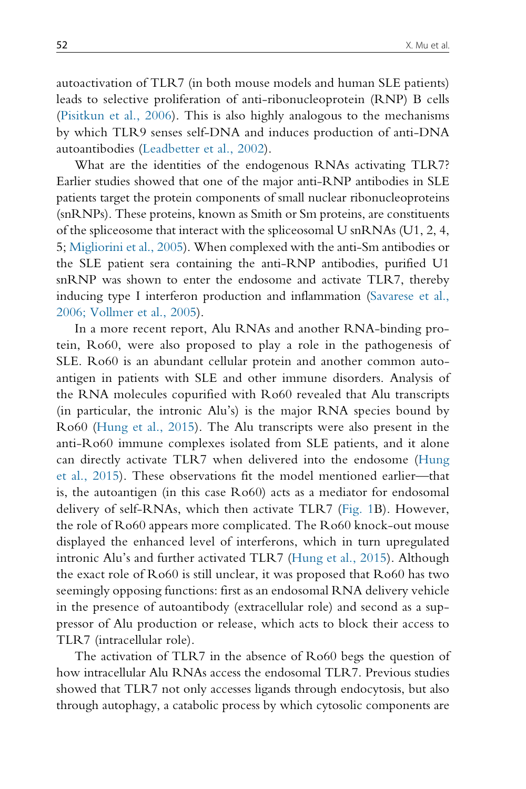autoactivation of TLR7 (in both mouse models and human SLE patients) leads to selective proliferation of anti-ribonucleoprotein (RNP) B cells ([Pisitkun et al., 2006\)](#page-21-0). This is also highly analogous to the mechanisms by which TLR9 senses self-DNA and induces production of anti-DNA autoantibodies [\(Leadbetter et al., 2002\)](#page-19-0).

What are the identities of the endogenous RNAs activating TLR7? Earlier studies showed that one of the major anti-RNP antibodies in SLE patients target the protein components of small nuclear ribonucleoproteins (snRNPs). These proteins, known as Smith or Sm proteins, are constituents of the spliceosome that interact with the spliceosomal U snRNAs (U1, 2, 4, 5; [Migliorini et al., 2005](#page-20-0)). When complexed with the anti-Sm antibodies or the SLE patient sera containing the anti-RNP antibodies, purified U1 snRNP was shown to enter the endosome and activate TLR7, thereby inducing type I interferon production and inflammation [\(Savarese et al.,](#page-21-0) 2006; [Vollmer et al., 2005](#page-21-0)).

In a more recent report, Alu RNAs and another RNA-binding protein, Ro60, were also proposed to play a role in the pathogenesis of SLE. Ro60 is an abundant cellular protein and another common autoantigen in patients with SLE and other immune disorders. Analysis of the RNA molecules copurified with Ro60 revealed that Alu transcripts (in particular, the intronic Alu's) is the major RNA species bound by Ro60 [\(Hung et al., 2015\)](#page-19-0). The Alu transcripts were also present in the anti-Ro60 immune complexes isolated from SLE patients, and it alone can directly activate TLR7 when delivered into the endosome ([Hung](#page-19-0) et [al., 2015\)](#page-19-0). These observations fit the model mentioned earlier—that is, the autoantigen (in this case Ro60) acts as a mediator for endosomal delivery of self-RNAs, which then activate TLR7 ([Fig. 1](#page-3-0)B). However, the role of Ro60 appears more complicated. The Ro60 knock-out mouse displayed the enhanced level of interferons, which in turn upregulated intronic Alu's and further activated TLR7 [\(Hung et al., 2015\)](#page-19-0). Although the exact role of Ro60 is still unclear, it was proposed that Ro60 has two seemingly opposing functions: first as an endosomal RNA delivery vehicle in the presence of autoantibody (extracellular role) and second as a suppressor of Alu production or release, which acts to block their access to TLR7 (intracellular role).

The activation of TLR7 in the absence of Ro60 begs the question of how intracellular Alu RNAs access the endosomal TLR7. Previous studies showed that TLR7 not only accesses ligands through endocytosis, but also through autophagy, a catabolic process by which cytosolic components are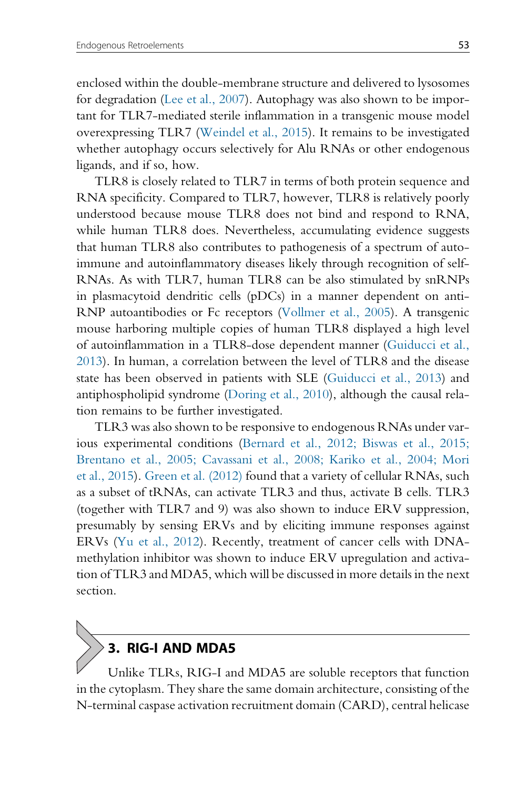enclosed within the double-membrane structure and delivered to lysosomes for degradation ([Lee et al., 2007](#page-19-0)). Autophagy was also shown to be important for TLR7-mediated sterile inflammation in a transgenic mouse model overexpressing TLR7 ([Weindel et al., 2015\)](#page-22-0). It remains to be investigated whether autophagy occurs selectively for Alu RNAs or other endogenous ligands, and if so, how.

TLR8 is closely related to TLR7 in terms of both protein sequence and RNA specificity. Compared to TLR7, however, TLR8 is relatively poorly understood because mouse TLR8 does not bind and respond to RNA, while human TLR8 does. Nevertheless, accumulating evidence suggests that human TLR8 also contributes to pathogenesis of a spectrum of autoimmune and autoinflammatory diseases likely through recognition of self-RNAs. As with TLR7, human TLR8 can be also stimulated by snRNPs in plasmacytoid dendritic cells (pDCs) in a manner dependent on anti-RNP autoantibodies or Fc receptors [\(Vollmer et al., 2005\)](#page-22-0). A transgenic mouse harboring multiple copies of human TLR8 displayed a high level of autoinflammation in a TLR8-dose dependent manner ([Guiducci et al.,](#page-19-0) [2013](#page-19-0)). In human, a correlation between the level of TLR8 and the disease state has been observed in patients with SLE ([Guiducci et al., 2013\)](#page-19-0) and antiphospholipid syndrome [\(Doring et al., 2010](#page-18-0)), although the causal relation remains to be further investigated.

TLR3 was also shown to be responsive to endogenous RNAs under various experimental conditions [\(Bernard et al., 2012; Biswas et al., 2015;](#page-17-0) Brentano [et al., 2005; Cavassani et al., 2008; Kariko et al., 2004; Mori](#page-17-0) [et al., 2015\)](#page-17-0). [Green et al. \(2012\)](#page-19-0) found that a variety of cellular RNAs, such as a subset of tRNAs, can activate TLR3 and thus, activate B cells. TLR3 (together with TLR7 and 9) was also shown to induce ERV suppression, presumably by sensing ERVs and by eliciting immune responses against ERVs [\(Yu et al., 2012\)](#page-22-0). Recently, treatment of cancer cells with DNAmethylation inhibitor was shown to induce ERV upregulation and activation of TLR3 and MDA5, which will be discussed in more details in the next section.

#### 3. RIG-I AND MDA5

Unlike TLRs, RIG-I and MDA5 are soluble receptors that function in the cytoplasm. They share the same domain architecture, consisting of the N-terminal caspase activation recruitment domain (CARD), central helicase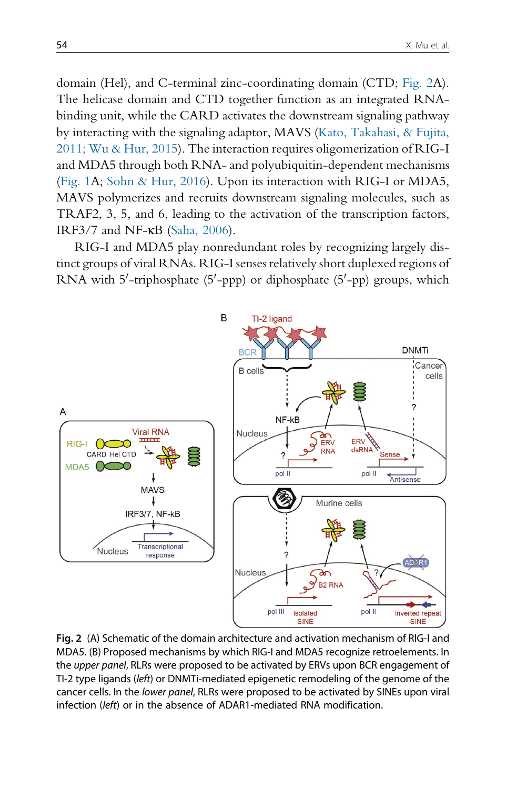<span id="page-7-0"></span>domain (Hel), and C-terminal zinc-coordinating domain (CTD; Fig. 2A). The helicase domain and CTD together function as an integrated RNAbinding unit, while the CARD activates the downstream signaling pathway by interacting with the signaling adaptor, MAVS [\(Kato, Takahasi, & Fujita,](#page-19-0) [2011; Wu & Hur, 2015](#page-19-0)). The interaction requires oligomerization of RIG-I and MDA5 through both RNA- and polyubiquitin-dependent mechanisms ([Fig. 1A](#page-3-0); [Sohn & Hur, 2016](#page-22-0)). Upon its interaction with RIG-I or MDA5, MAVS polymerizes and recruits downstream signaling molecules, such as TRAF2, 3, 5, and 6, leading to the activation of the transcription factors, IRF3/7 and NF-κB [\(Saha, 2006\)](#page-21-0).

RIG-I and MDA5 play nonredundant roles by recognizing largely distinct groups of viral RNAs. RIG-I senses relatively short duplexed regions of RNA with 5'-triphosphate (5'-ppp) or diphosphate (5'-pp) groups, which



Fig. 2 (A) Schematic of the domain architecture and activation mechanism of RIG-I and MDA5. (B) Proposed mechanisms by which RIG-I and MDA5 recognize retroelements. In the *upper panel*, RLRs were proposed to be activated by ERVs upon BCR engagement of TI-2 type ligands (left) or DNMTi-mediated epigenetic remodeling of the genome of the cancer cells. In the lower panel, RLRs were proposed to be activated by SINEs upon viral infection (left) or in the absence of ADAR1-mediated RNA modification.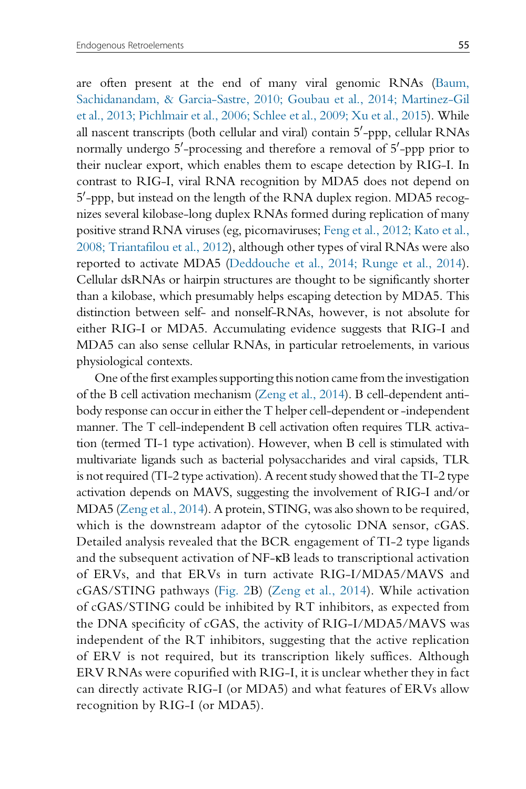are often present at the end of many viral genomic RNAs ([Baum,](#page-17-0) [Sachidanandam, & Garcia-Sastre, 2010; Goubau et al., 2014; Martinez-Gil](#page-17-0) [et al., 2013; Pichlmair et al., 2006; Schlee et al., 2009; Xu et al., 2015\)](#page-17-0). While all nascent transcripts (both cellular and viral) contain 5'-ppp, cellular RNAs normally undergo 5'-processing and therefore a removal of 5'-ppp prior to their nuclear export, which enables them to escape detection by RIG-I. In contrast to RIG-I, viral RNA recognition by MDA5 does not depend on 5'-ppp, but instead on the length of the RNA duplex region. MDA5 recognizes several kilobase-long duplex RNAs formed during replication of many positive strand RNA viruses (eg, picornaviruses; [Feng et al., 2012; Kato et al.,](#page-18-0) [2008; Triantafilou et al., 2012](#page-18-0)), although other types of viral RNAs were also reported to activate MDA5 [\(Deddouche et al., 2014; Runge et al., 2014\)](#page-18-0). Cellular dsRNAs or hairpin structures are thought to be significantly shorter than a kilobase, which presumably helps escaping detection by MDA5. This distinction between self- and nonself-RNAs, however, is not absolute for either RIG-I or MDA5. Accumulating evidence suggests that RIG-I and MDA5 can also sense cellular RNAs, in particular retroelements, in various physiological contexts.

One of the first examples supporting this notion came from the investigation of the B cell activation mechanism [\(Zeng et al., 2014\)](#page-22-0). B cell-dependent antibody response can occur in either the T helper cell-dependent or -independent manner. The T cell-independent B cell activation often requires TLR activation (termed TI-1 type activation). However, when B cell is stimulated with multivariate ligands such as bacterial polysaccharides and viral capsids, TLR is not required (TI-2 type activation). A recent study showed that the TI-2 type activation depends on MAVS, suggesting the involvement of RIG-I and/or MDA5 [\(Zeng et al., 2014\)](#page-22-0). A protein, STING, was also shown to be required, which is the downstream adaptor of the cytosolic DNA sensor, cGAS. Detailed analysis revealed that the BCR engagement of TI-2 type ligands and the subsequent activation of NF-κB leads to transcriptional activation of ERVs, and that ERVs in turn activate RIG-I/MDA5/MAVS and cGAS/STING pathways [\(Fig. 2B](#page-7-0)) [\(Zeng et al., 2014](#page-22-0)). While activation of cGAS/STING could be inhibited by RT inhibitors, as expected from the DNA specificity of cGAS, the activity of RIG-I/MDA5/MAVS was independent of the RT inhibitors, suggesting that the active replication of ERV is not required, but its transcription likely suffices. Although ERV RNAs were copurified with RIG-I, it is unclear whether they in fact can directly activate RIG-I (or MDA5) and what features of ERVs allow recognition by RIG-I (or MDA5).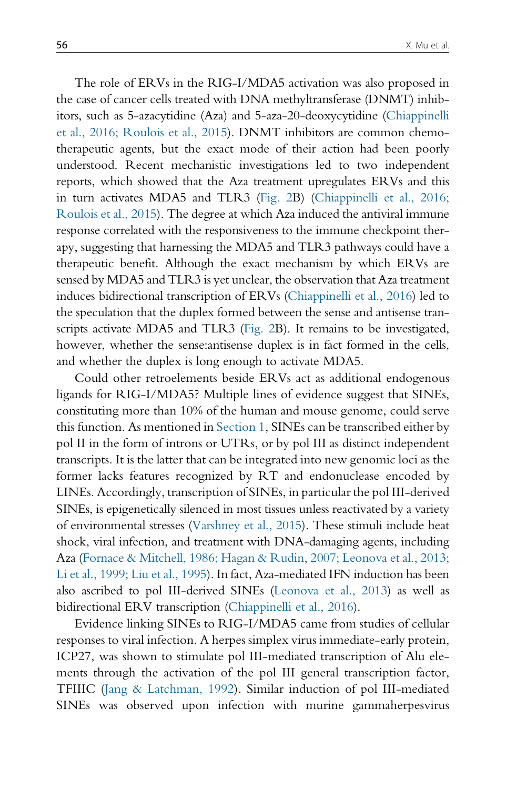The role of ERVs in the RIG-I/MDA5 activation was also proposed in the case of cancer cells treated with DNA methyltransferase (DNMT) inhibitors, such as 5-azacytidine (Aza) and 5-aza-20-deoxycytidine [\(Chiappinelli](#page-17-0) et [al., 2016; Roulois et al., 2015\)](#page-17-0). DNMT inhibitors are common chemotherapeutic agents, but the exact mode of their action had been poorly understood. Recent mechanistic investigations led to two independent reports, which showed that the Aza treatment upregulates ERVs and this in turn activates MDA5 and TLR3 ([Fig. 2](#page-7-0)B) [\(Chiappinelli et al., 2016;](#page-17-0) [Roulois et al., 2015\)](#page-17-0). The degree at which Aza induced the antiviral immune response correlated with the responsiveness to the immune checkpoint therapy, suggesting that harnessing the MDA5 and TLR3 pathways could have a therapeutic benefit. Although the exact mechanism by which ERVs are sensed by MDA5 and TLR3 is yet unclear, the observation that Aza treatment induces bidirectional transcription of ERVs [\(Chiappinelli et al., 2016](#page-17-0)) led to the speculation that the duplex formed between the sense and antisense transcripts activate MDA5 and TLR3 [\(Fig. 2B](#page-7-0)). It remains to be investigated, however, whether the sense:antisense duplex is in fact formed in the cells, and whether the duplex is long enough to activate MDA5.

Could other retroelements beside ERVs act as additional endogenous ligands for RIG-I/MDA5? Multiple lines of evidence suggest that SINEs, constituting more than 10% of the human and mouse genome, could serve this function. As mentioned in [Section 1,](#page-0-0) SINEs can be transcribed either by pol II in the form of introns or UTRs, or by pol III as distinct independent transcripts. It is the latter that can be integrated into new genomic loci as the former lacks features recognized by RT and endonuclease encoded by LINEs. Accordingly, transcription of SINEs, in particular the pol III-derived SINEs, is epigenetically silenced in most tissues unless reactivated by a variety of environmental stresses ([Varshney et al., 2015\)](#page-22-0). These stimuli include heat shock, viral infection, and treatment with DNA-damaging agents, including Aza ([Fornace & Mitchell, 1986; Hagan & Rudin, 2007; Leonova et al., 2013;](#page-18-0) Li [et al., 1999; Liu et al., 1995\)](#page-18-0). In fact, Aza-mediated IFN induction has been also ascribed to pol III-derived SINEs [\(Leonova et al., 2013\)](#page-20-0) as well as bidirectional ERV transcription [\(Chiappinelli et al., 2016](#page-17-0)).

Evidence linking SINEs to RIG-I/MDA5 came from studies of cellular responses to viral infection. A herpes simplex virus immediate-early protein, ICP27, was shown to stimulate pol III-mediated transcription of Alu elements through the activation of the pol III general transcription factor, TFIIIC [\(Jang & Latchman, 1992](#page-19-0)). Similar induction of pol III-mediated SINEs was observed upon infection with murine gammaherpesvirus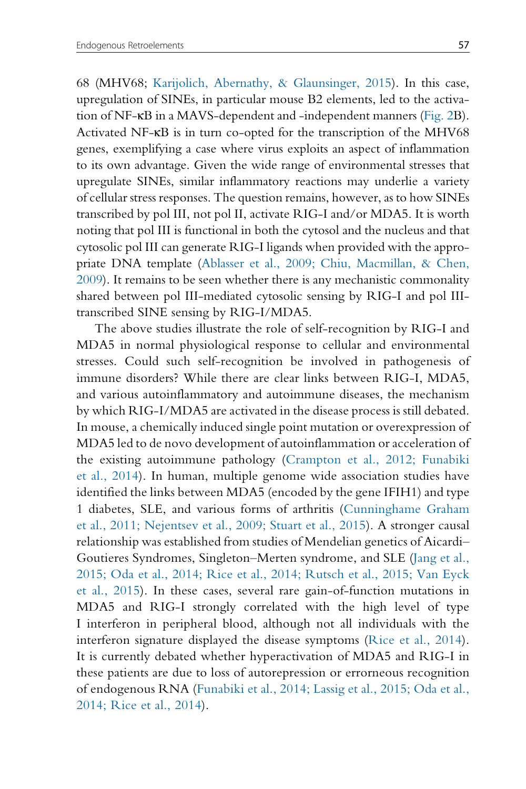68 (MHV68; [Karijolich, Abernathy, & Glaunsinger, 2015\)](#page-19-0). In this case, upregulation of SINEs, in particular mouse B2 elements, led to the activation of NF-κB in a MAVS-dependent and -independent manners [\(Fig. 2](#page-7-0)B). Activated NF-κB is in turn co-opted for the transcription of the MHV68 genes, exemplifying a case where virus exploits an aspect of inflammation to its own advantage. Given the wide range of environmental stresses that upregulate SINEs, similar inflammatory reactions may underlie a variety of cellular stress responses. The question remains, however, as to how SINEs transcribed by pol III, not pol II, activate RIG-I and/or MDA5. It is worth noting that pol III is functional in both the cytosol and the nucleus and that cytosolic pol III can generate RIG-I ligands when provided with the appropriate DNA template ([Ablasser et al., 2009; Chiu, Macmillan, & Chen,](#page-17-0) [2009](#page-17-0)). It remains to be seen whether there is any mechanistic commonality shared between pol III-mediated cytosolic sensing by RIG-I and pol IIItranscribed SINE sensing by RIG-I/MDA5.

The above studies illustrate the role of self-recognition by RIG-I and MDA5 in normal physiological response to cellular and environmental stresses. Could such self-recognition be involved in pathogenesis of immune disorders? While there are clear links between RIG-I, MDA5, and various autoinflammatory and autoimmune diseases, the mechanism by which RIG-I/MDA5 are activated in the disease process is still debated. In mouse, a chemically induced single point mutation or overexpression of MDA5 led to de novo development of autoinflammation or acceleration of the existing autoimmune pathology ([Crampton et al., 2012; Funabiki](#page-18-0) et [al., 2014\)](#page-18-0). In human, multiple genome wide association studies have identified the links between MDA5 (encoded by the gene IFIH1) and type 1 diabetes, SLE, and various forms of arthritis [\(Cunninghame Graham](#page-18-0) et [al., 2011; Nejentsev et al., 2009; Stuart et al., 2015\)](#page-18-0). A stronger causal relationship was established from studies of Mendelian genetics of Aicardi– Goutieres Syndromes, Singleton–Merten syndrome, and SLE ([Jang et al.,](#page-19-0) [2015; Oda et al., 2014; Rice et al., 2014; Rutsch et al., 2015; Van Eyck](#page-19-0) [et al., 2015\)](#page-19-0). In these cases, several rare gain-of-function mutations in MDA5 and RIG-I strongly correlated with the high level of type I interferon in peripheral blood, although not all individuals with the interferon signature displayed the disease symptoms [\(Rice et al., 2014](#page-21-0)). It is currently debated whether hyperactivation of MDA5 and RIG-I in these patients are due to loss of autorepression or errorneous recognition of endogenous RNA ([Funabiki et al., 2014; Lassig et al., 2015; Oda et al.,](#page-18-0) [2014; Rice et al., 2014](#page-18-0)).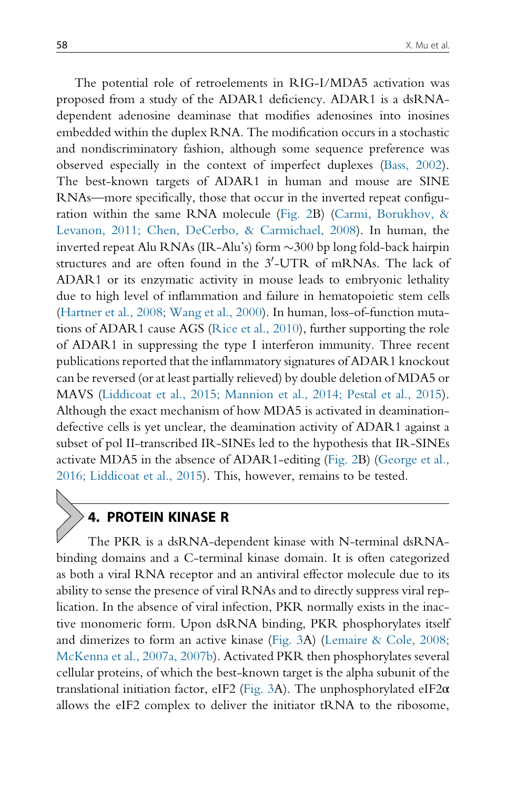The potential role of retroelements in RIG-I/MDA5 activation was proposed from a study of the ADAR1 deficiency. ADAR1 is a dsRNAdependent adenosine deaminase that modifies adenosines into inosines embedded within the duplex RNA. The modification occurs in a stochastic and nondiscriminatory fashion, although some sequence preference was observed especially in the context of imperfect duplexes [\(Bass, 2002\)](#page-17-0). The best-known targets of ADAR1 in human and mouse are SINE RNAs—more specifically, those that occur in the inverted repeat configuration within the same RNA molecule [\(Fig. 2B](#page-7-0)) ([Carmi, Borukhov, &](#page-17-0) Levanon, [2011; Chen, DeCerbo, & Carmichael, 2008](#page-17-0)). In human, the inverted repeat Alu RNAs (IR-Alu's) form  $\sim$ 300 bp long fold-back hairpin structures and are often found in the  $3'$ -UTR of mRNAs. The lack of ADAR1 or its enzymatic activity in mouse leads to embryonic lethality due to high level of inflammation and failure in hematopoietic stem cells ([Hartner et al., 2008; Wang et al., 2000](#page-19-0)). In human, loss-of-function mutations of ADAR1 cause AGS ([Rice et al., 2010\)](#page-21-0), further supporting the role of ADAR1 in suppressing the type I interferon immunity. Three recent publications reported that the inflammatory signatures of ADAR1 knockout can be reversed (or at least partially relieved) by double deletion of MDA5 or MAVS ([Liddicoat et al., 2015; Mannion et al., 2014; Pestal et al., 2015\)](#page-20-0). Although the exact mechanism of how MDA5 is activated in deaminationdefective cells is yet unclear, the deamination activity of ADAR1 against a subset of pol II-transcribed IR-SINEs led to the hypothesis that IR-SINEs activate MDA5 in the absence of ADAR1-editing [\(Fig. 2](#page-7-0)B) ([George et al.,](#page-18-0) 2016; [Liddicoat et al., 2015](#page-18-0)). This, however, remains to be tested.

#### 4. PROTEIN KINASE R

The PKR is a dsRNA-dependent kinase with N-terminal dsRNAbinding domains and a C-terminal kinase domain. It is often categorized as both a viral RNA receptor and an antiviral effector molecule due to its ability to sense the presence of viral RNAs and to directly suppress viral replication. In the absence of viral infection, PKR normally exists in the inactive monomeric form. Upon dsRNA binding, PKR phosphorylates itself and dimerizes to form an active kinase [\(Fig. 3A](#page-12-0)) ([Lemaire & Cole, 2008;](#page-20-0) McKenna [et al., 2007a, 2007b](#page-20-0)). Activated PKR then phosphorylates several cellular proteins, of which the best-known target is the alpha subunit of the translational initiation factor, eIF2 ([Fig. 3](#page-12-0)A). The unphosphorylated eIF2 $\alpha$ allows the eIF2 complex to deliver the initiator tRNA to the ribosome,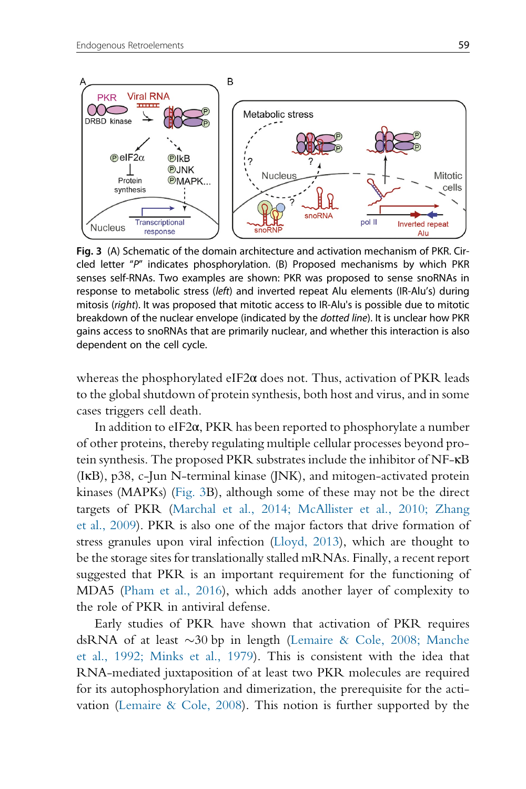<span id="page-12-0"></span>

Fig. 3 (A) Schematic of the domain architecture and activation mechanism of PKR. Circled letter "P" indicates phosphorylation. (B) Proposed mechanisms by which PKR senses self-RNAs. Two examples are shown: PKR was proposed to sense snoRNAs in response to metabolic stress (left) and inverted repeat Alu elements (IR-Alu's) during mitosis (right). It was proposed that mitotic access to IR-Alu's is possible due to mitotic breakdown of the nuclear envelope (indicated by the dotted line). It is unclear how PKR gains access to snoRNAs that are primarily nuclear, and whether this interaction is also dependent on the cell cycle.

whereas the phosphorylated eIF2 $\alpha$  does not. Thus, activation of PKR leads to the global shutdown of protein synthesis, both host and virus, and in some cases triggers cell death.

In addition to eIF2 $\alpha$ , PKR has been reported to phosphorylate a number of other proteins, thereby regulating multiple cellular processes beyond protein synthesis. The proposed PKR substrates include the inhibitor of NF-κB (IκB), p38, c-Jun N-terminal kinase (JNK), and mitogen-activated protein kinases (MAPKs) (Fig. 3B), although some of these may not be the direct targets of PKR ([Marchal et al., 2014; McAllister et al., 2010; Zhang](#page-20-0) [et al., 2009\)](#page-20-0). PKR is also one of the major factors that drive formation of stress granules upon viral infection ([Lloyd, 2013\)](#page-20-0), which are thought to be the storage sites for translationally stalled mRNAs. Finally, a recent report suggested that PKR is an important requirement for the functioning of MDA5 ([Pham et al., 2016](#page-21-0)), which adds another layer of complexity to the role of PKR in antiviral defense.

Early studies of PKR have shown that activation of PKR requires dsRNA of at least  $\sim$ 30 bp in length ([Lemaire & Cole, 2008; Manche](#page-20-0) [et al., 1992; Minks et al., 1979](#page-20-0)). This is consistent with the idea that RNA-mediated juxtaposition of at least two PKR molecules are required for its autophosphorylation and dimerization, the prerequisite for the activation [\(Lemaire & Cole, 2008\)](#page-20-0). This notion is further supported by the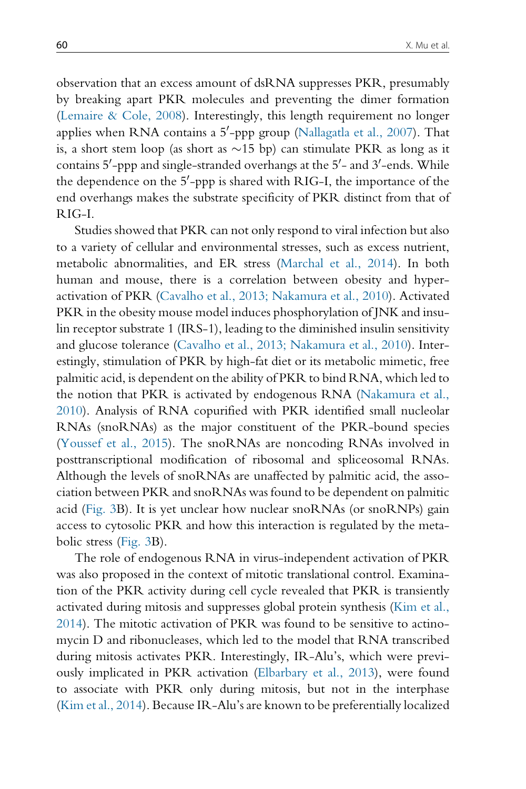observation that an excess amount of dsRNA suppresses PKR, presumably by breaking apart PKR molecules and preventing the dimer formation ([Lemaire & Cole, 2008](#page-20-0)). Interestingly, this length requirement no longer applies when RNA contains a 5'-ppp group ([Nallagatla et al., 2007](#page-21-0)). That is, a short stem loop (as short as  $\sim$ 15 bp) can stimulate PKR as long as it contains 5'-ppp and single-stranded overhangs at the 5'- and 3'-ends. While the dependence on the 5'-ppp is shared with RIG-I, the importance of the end overhangs makes the substrate specificity of PKR distinct from that of RIG-I.

Studies showed that PKR can not only respond to viral infection but also to a variety of cellular and environmental stresses, such as excess nutrient, metabolic abnormalities, and ER stress [\(Marchal et al., 2014](#page-20-0)). In both human and mouse, there is a correlation between obesity and hyperactivation of PKR [\(Cavalho et al., 2013; Nakamura et al., 2010](#page-17-0)). Activated PKR in the obesity mouse model induces phosphorylation of JNK and insulin receptor substrate 1 (IRS-1), leading to the diminished insulin sensitivity and glucose tolerance [\(Cavalho et al., 2013; Nakamura et al., 2010\)](#page-17-0). Interestingly, stimulation of PKR by high-fat diet or its metabolic mimetic, free palmitic acid, is dependent on the ability of PKR to bind RNA, which led to the notion that PKR is activated by endogenous RNA ([Nakamura et al.,](#page-21-0) [2010\)](#page-21-0). Analysis of RNA copurified with PKR identified small nucleolar RNAs (snoRNAs) as the major constituent of the PKR-bound species ([Youssef et al., 2015](#page-22-0)). The snoRNAs are noncoding RNAs involved in posttranscriptional modification of ribosomal and spliceosomal RNAs. Although the levels of snoRNAs are unaffected by palmitic acid, the association between PKR and snoRNAs was found to be dependent on palmitic acid [\(Fig. 3B](#page-12-0)). It is yet unclear how nuclear snoRNAs (or snoRNPs) gain access to cytosolic PKR and how this interaction is regulated by the metabolic stress [\(Fig. 3](#page-12-0)B).

The role of endogenous RNA in virus-independent activation of PKR was also proposed in the context of mitotic translational control. Examination of the PKR activity during cell cycle revealed that PKR is transiently activated during mitosis and suppresses global protein synthesis [\(Kim et al.,](#page-19-0) [2014\)](#page-19-0). The mitotic activation of PKR was found to be sensitive to actinomycin D and ribonucleases, which led to the model that RNA transcribed during mitosis activates PKR. Interestingly, IR-Alu's, which were previously implicated in PKR activation ([Elbarbary et al., 2013\)](#page-18-0), were found to associate with PKR only during mitosis, but not in the interphase ([Kim et al., 2014\)](#page-19-0). Because IR-Alu's are known to be preferentially localized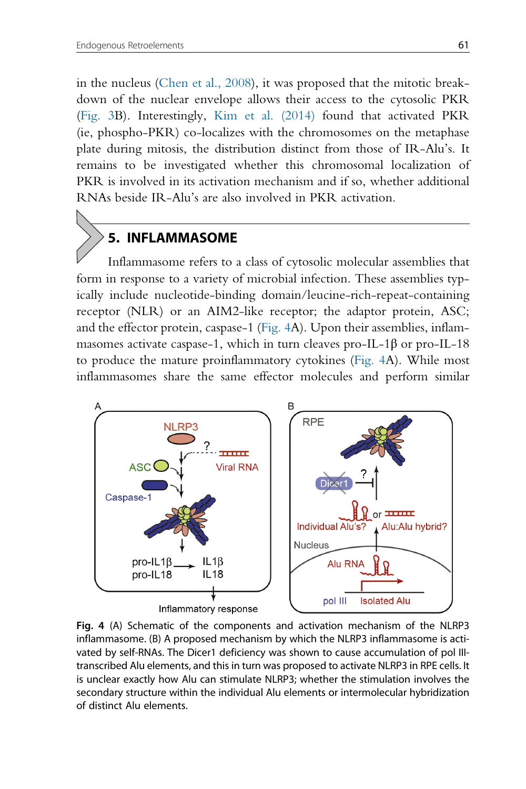<span id="page-14-0"></span>in the nucleus [\(Chen et al., 2008](#page-17-0)), it was proposed that the mitotic breakdown of the nuclear envelope allows their access to the cytosolic PKR [\(Fig. 3](#page-12-0)B). Interestingly, [Kim et al. \(2014\)](#page-19-0) found that activated PKR (ie, phospho-PKR) co-localizes with the chromosomes on the metaphase plate during mitosis, the distribution distinct from those of IR-Alu's. It remains to be investigated whether this chromosomal localization of PKR is involved in its activation mechanism and if so, whether additional RNAs beside IR-Alu's are also involved in PKR activation.

#### 5. INFLAMMASOME

Inflammasome refers to a class of cytosolic molecular assemblies that form in response to a variety of microbial infection. These assemblies typically include nucleotide-binding domain/leucine-rich-repeat-containing receptor (NLR) or an AIM2-like receptor; the adaptor protein, ASC; and the effector protein, caspase-1 (Fig. 4A). Upon their assemblies, inflammasomes activate caspase-1, which in turn cleaves pro-IL-1 $\beta$  or pro-IL-18 to produce the mature proinflammatory cytokines (Fig. 4A). While most inflammasomes share the same effector molecules and perform similar



Fig. 4 (A) Schematic of the components and activation mechanism of the NLRP3 inflammasome. (B) A proposed mechanism by which the NLRP3 inflammasome is activated by self-RNAs. The Dicer1 deficiency was shown to cause accumulation of pol IIItranscribed Alu elements, and this in turn was proposed to activate NLRP3 in RPE cells. It is unclear exactly how Alu can stimulate NLRP3; whether the stimulation involves the secondary structure within the individual Alu elements or intermolecular hybridization of distinct Alu elements.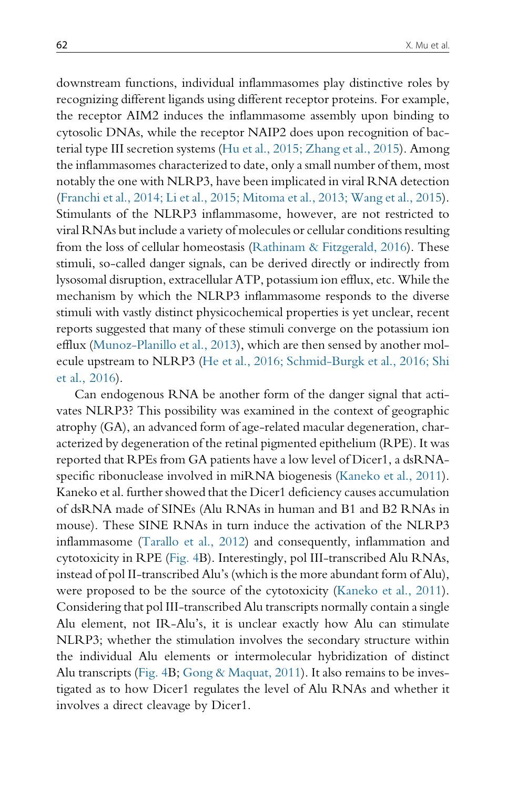downstream functions, individual inflammasomes play distinctive roles by recognizing different ligands using different receptor proteins. For example, the receptor AIM2 induces the inflammasome assembly upon binding to cytosolic DNAs, while the receptor NAIP2 does upon recognition of bacterial type III secretion systems [\(Hu et al., 2015; Zhang et al., 2015](#page-19-0)). Among the inflammasomes characterized to date, only a small number of them, most notably the one with NLRP3, have been implicated in viral RNA detection ([Franchi et al., 2014; Li et al., 2015; Mitoma et al., 2013; Wang et al., 2015\)](#page-18-0). Stimulants of the NLRP3 inflammasome, however, are not restricted to viral RNAs but include a variety of molecules or cellular conditions resulting from the loss of cellular homeostasis [\(Rathinam & Fitzgerald, 2016](#page-21-0)). These stimuli, so-called danger signals, can be derived directly or indirectly from lysosomal disruption, extracellular ATP, potassium ion efflux, etc. While the mechanism by which the NLRP3 inflammasome responds to the diverse stimuli with vastly distinct physicochemical properties is yet unclear, recent reports suggested that many of these stimuli converge on the potassium ion efflux [\(Munoz-Planillo et al., 2013](#page-21-0)), which are then sensed by another molecule upstream to NLRP3 [\(He et al., 2016; Schmid-Burgk et al., 2016; Shi](#page-19-0) et [al., 2016\)](#page-19-0).

Can endogenous RNA be another form of the danger signal that activates NLRP3? This possibility was examined in the context of geographic atrophy (GA), an advanced form of age-related macular degeneration, characterized by degeneration of the retinal pigmented epithelium (RPE). It was reported that RPEs from GA patients have a low level of Dicer1, a dsRNAspecific ribonuclease involved in miRNA biogenesis ([Kaneko et al., 2011\)](#page-19-0). Kaneko et al. further showed that the Dicer1 deficiency causes accumulation of dsRNA made of SINEs (Alu RNAs in human and B1 and B2 RNAs in mouse). These SINE RNAs in turn induce the activation of the NLRP3 inflammasome [\(Tarallo et al., 2012](#page-22-0)) and consequently, inflammation and cytotoxicity in RPE ([Fig. 4B](#page-14-0)). Interestingly, pol III-transcribed Alu RNAs, instead of pol II-transcribed Alu's (which is the more abundant form of Alu), were proposed to be the source of the cytotoxicity ([Kaneko et al., 2011\)](#page-19-0). Considering that pol III-transcribed Alu transcripts normally contain a single Alu element, not IR-Alu's, it is unclear exactly how Alu can stimulate NLRP3; whether the stimulation involves the secondary structure within the individual Alu elements or intermolecular hybridization of distinct Alu transcripts [\(Fig. 4B](#page-14-0); [Gong & Maquat, 2011](#page-18-0)). It also remains to be investigated as to how Dicer1 regulates the level of Alu RNAs and whether it involves a direct cleavage by Dicer1.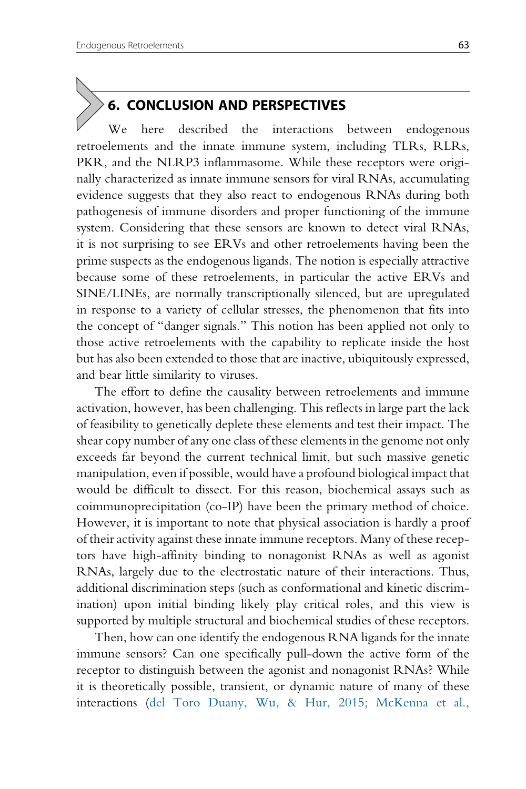#### 6. CONCLUSION AND PERSPECTIVES

We here described the interactions between endogenous retroelements and the innate immune system, including TLRs, RLRs, PKR, and the NLRP3 inflammasome. While these receptors were originally characterized as innate immune sensors for viral RNAs, accumulating evidence suggests that they also react to endogenous RNAs during both pathogenesis of immune disorders and proper functioning of the immune system. Considering that these sensors are known to detect viral RNAs, it is not surprising to see ERVs and other retroelements having been the prime suspects as the endogenous ligands. The notion is especially attractive because some of these retroelements, in particular the active ERVs and SINE/LINEs, are normally transcriptionally silenced, but are upregulated in response to a variety of cellular stresses, the phenomenon that fits into the concept of "danger signals." This notion has been applied not only to those active retroelements with the capability to replicate inside the host but has also been extended to those that are inactive, ubiquitously expressed, and bear little similarity to viruses.

The effort to define the causality between retroelements and immune activation, however, has been challenging. This reflects in large part the lack of feasibility to genetically deplete these elements and test their impact. The shear copy number of any one class of these elements in the genome not only exceeds far beyond the current technical limit, but such massive genetic manipulation, even if possible, would have a profound biological impact that would be difficult to dissect. For this reason, biochemical assays such as coimmunoprecipitation (co-IP) have been the primary method of choice. However, it is important to note that physical association is hardly a proof of their activity against these innate immune receptors. Many of these receptors have high-affinity binding to nonagonist RNAs as well as agonist RNAs, largely due to the electrostatic nature of their interactions. Thus, additional discrimination steps (such as conformational and kinetic discrimination) upon initial binding likely play critical roles, and this view is supported by multiple structural and biochemical studies of these receptors.

Then, how can one identify the endogenous RNA ligands for the innate immune sensors? Can one specifically pull-down the active form of the receptor to distinguish between the agonist and nonagonist RNAs? While it is theoretically possible, transient, or dynamic nature of many of these interactions ([del Toro Duany, Wu, & Hur, 2015; McKenna et al.,](#page-18-0)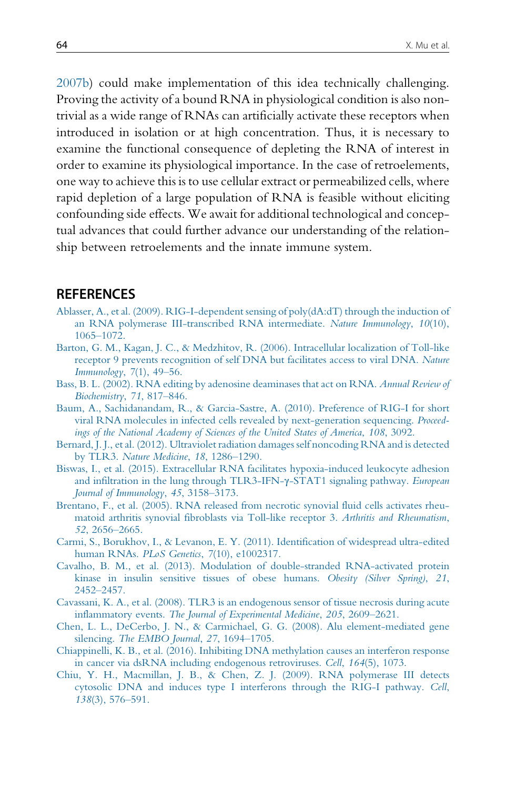<span id="page-17-0"></span>[2007b](#page-18-0)) could make implementation of this idea technically challenging. Proving the activity of a bound RNA in physiological condition is also nontrivial as a wide range of RNAs can artificially activate these receptors when introduced in isolation or at high concentration. Thus, it is necessary to examine the functional consequence of depleting the RNA of interest in order to examine its physiological importance. In the case of retroelements, one way to achieve this is to use cellular extract or permeabilized cells, where rapid depletion of a large population of RNA is feasible without eliciting confounding side effects. We await for additional technological and conceptual advances that could further advance our understanding of the relationship between retroelements and the innate immune system.

#### **REFERENCES**

- [Ablasser, A., et al. \(2009\). RIG-I-dependent sensing of poly\(dA:dT\) through the induction of](http://refhub.elsevier.com/S0065-2776(16)30035-9/rf0005) [an RNA polymerase III-transcribed RNA intermediate.](http://refhub.elsevier.com/S0065-2776(16)30035-9/rf0005) Nature Immunology, 10(10), 1065–[1072.](http://refhub.elsevier.com/S0065-2776(16)30035-9/rf0005)
- [Barton, G. M., Kagan, J. C., & Medzhitov, R. \(2006\). Intracellular localization of Toll-like](http://refhub.elsevier.com/S0065-2776(16)30035-9/rf0010) [receptor 9 prevents recognition of self DNA but facilitates access to viral DNA.](http://refhub.elsevier.com/S0065-2776(16)30035-9/rf0010) Nature [Immunology](http://refhub.elsevier.com/S0065-2776(16)30035-9/rf0010), 7(1), 49–56.
- [Bass, B. L. \(2002\). RNA editing by adenosine deaminases that act on RNA.](http://refhub.elsevier.com/S0065-2776(16)30035-9/rf0015) Annual Review of [Biochemistry](http://refhub.elsevier.com/S0065-2776(16)30035-9/rf0015), 71, 817–846.
- [Baum, A., Sachidanandam, R., & Garcia-Sastre, A. \(2010\). Preference of RIG-I for short](http://refhub.elsevier.com/S0065-2776(16)30035-9/rf0020) [viral RNA molecules in infected cells revealed by next-generation sequencing.](http://refhub.elsevier.com/S0065-2776(16)30035-9/rf0020) Proceed[ings of the National Academy of Sciences of the United States of America](http://refhub.elsevier.com/S0065-2776(16)30035-9/rf0020), 108, 3092.
- [Bernard, J. J., et al. \(2012\). Ultraviolet radiation damages self noncoding RNA and is detected](http://refhub.elsevier.com/S0065-2776(16)30035-9/rf0025) by TLR3. [Nature Medicine](http://refhub.elsevier.com/S0065-2776(16)30035-9/rf0025), 18, 1286–1290.
- [Biswas, I., et al. \(2015\). Extracellular RNA facilitates hypoxia-induced leukocyte adhesion](http://refhub.elsevier.com/S0065-2776(16)30035-9/rf0030) [and infiltration in the lung through TLR3-IFN-](http://refhub.elsevier.com/S0065-2776(16)30035-9/rf0030)γ[-STAT1 signaling pathway.](http://refhub.elsevier.com/S0065-2776(16)30035-9/rf0030) European [Journal of Immunology](http://refhub.elsevier.com/S0065-2776(16)30035-9/rf0030), 45, 3158–3173.
- [Brentano, F., et al. \(2005\). RNA released from necrotic synovial fluid cells activates rheu](http://refhub.elsevier.com/S0065-2776(16)30035-9/rf0035)[matoid arthritis synovial fibroblasts via Toll-like receptor 3.](http://refhub.elsevier.com/S0065-2776(16)30035-9/rf0035) Arthritis and Rheumatism, 52[, 2656](http://refhub.elsevier.com/S0065-2776(16)30035-9/rf0035)–2665.
- [Carmi, S., Borukhov, I., & Levanon, E. Y. \(2011\). Identification of widespread ultra-edited](http://refhub.elsevier.com/S0065-2776(16)30035-9/rf0040) human RNAs. PLoS Genetics, 7[\(10\), e1002317.](http://refhub.elsevier.com/S0065-2776(16)30035-9/rf0040)
- [Cavalho, B. M., et al. \(2013\). Modulation of double-stranded RNA-activated protein](http://refhub.elsevier.com/S0065-2776(16)30035-9/rf0045) [kinase in insulin sensitive tissues of obese humans.](http://refhub.elsevier.com/S0065-2776(16)30035-9/rf0045) Obesity (Silver Spring), 21, 2452–[2457.](http://refhub.elsevier.com/S0065-2776(16)30035-9/rf0045)
- [Cavassani, K. A., et al. \(2008\). TLR3 is an endogenous sensor of tissue necrosis during acute](http://refhub.elsevier.com/S0065-2776(16)30035-9/rf0050) inflammatory events. [The Journal of Experimental Medicine](http://refhub.elsevier.com/S0065-2776(16)30035-9/rf0050), 205, 2609–2621.
- [Chen, L. L., DeCerbo, J. N., & Carmichael, G. G. \(2008\). Alu element-mediated gene](http://refhub.elsevier.com/S0065-2776(16)30035-9/rf0055) silencing. [The EMBO Journal](http://refhub.elsevier.com/S0065-2776(16)30035-9/rf0055), 27, 1694–1705.
- [Chiappinelli, K. B., et al. \(2016\). Inhibiting DNA methylation causes an interferon response](http://refhub.elsevier.com/S0065-2776(16)30035-9/rf0060) [in cancer via dsRNA including endogenous retroviruses.](http://refhub.elsevier.com/S0065-2776(16)30035-9/rf0060) Cell, 164(5), 1073.
- [Chiu, Y. H., Macmillan, J. B., & Chen, Z. J. \(2009\). RNA polymerase III detects](http://refhub.elsevier.com/S0065-2776(16)30035-9/rf0065) [cytosolic DNA and induces type I interferons through the RIG-I pathway.](http://refhub.elsevier.com/S0065-2776(16)30035-9/rf0065) Cell, 138(3), 576–[591.](http://refhub.elsevier.com/S0065-2776(16)30035-9/rf0065)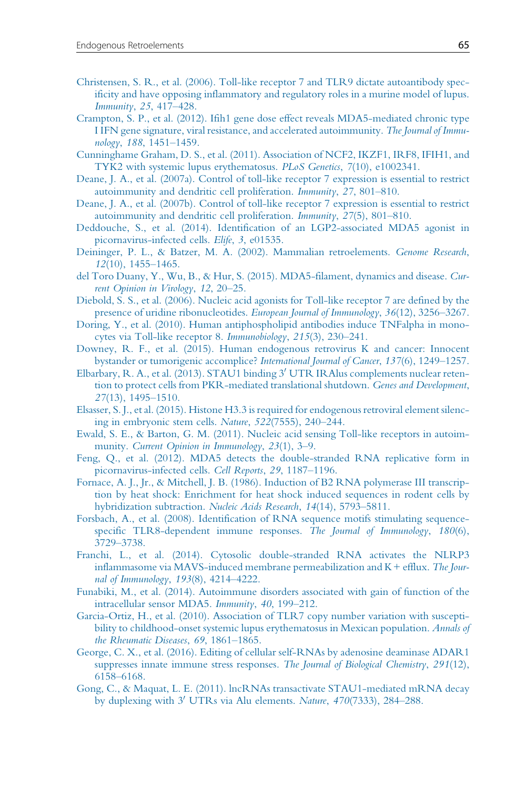- <span id="page-18-0"></span>[Christensen, S. R., et al. \(2006\). Toll-like receptor 7 and TLR9 dictate autoantibody spec](http://refhub.elsevier.com/S0065-2776(16)30035-9/rf0070)[ificity and have opposing inflammatory and regulatory roles in a murine model of lupus.](http://refhub.elsevier.com/S0065-2776(16)30035-9/rf0070) [Immunity](http://refhub.elsevier.com/S0065-2776(16)30035-9/rf0070), 25, 417–428.
- [Crampton, S. P., et al. \(2012\). Ifih1 gene dose effect reveals MDA5-mediated chronic type](http://refhub.elsevier.com/S0065-2776(16)30035-9/rf0075) [I IFN gene signature, viral resistance, and accelerated autoimmunity.](http://refhub.elsevier.com/S0065-2776(16)30035-9/rf0075) The Journal of Immunology, 188[, 1451](http://refhub.elsevier.com/S0065-2776(16)30035-9/rf0075)–1459.
- [Cunninghame Graham, D. S., et al. \(2011\). Association of NCF2, IKZF1, IRF8, IFIH1, and](http://refhub.elsevier.com/S0065-2776(16)30035-9/rf0080) [TYK2 with systemic lupus erythematosus.](http://refhub.elsevier.com/S0065-2776(16)30035-9/rf0080) PLoS Genetics, 7(10), e1002341.
- [Deane, J. A., et al. \(2007a\). Control of toll-like receptor 7 expression is essential to restrict](http://refhub.elsevier.com/S0065-2776(16)30035-9/rf0085) [autoimmunity and dendritic cell proliferation.](http://refhub.elsevier.com/S0065-2776(16)30035-9/rf0085) Immunity, 27, 801–810.
- [Deane, J. A., et al. \(2007b\). Control of toll-like receptor 7 expression is essential to restrict](http://refhub.elsevier.com/S0065-2776(16)30035-9/rf0090) [autoimmunity and dendritic cell proliferation.](http://refhub.elsevier.com/S0065-2776(16)30035-9/rf0090) Immunity, 27(5), 801–810.
- [Deddouche, S., et al. \(2014\). Identification of an LGP2-associated MDA5 agonist in](http://refhub.elsevier.com/S0065-2776(16)30035-9/rf0095) [picornavirus-infected cells.](http://refhub.elsevier.com/S0065-2776(16)30035-9/rf0095) Elife, 3, e01535.
- [Deininger, P. L., & Batzer, M. A. \(2002\). Mammalian retroelements.](http://refhub.elsevier.com/S0065-2776(16)30035-9/rf0100) Genome Research, 12[\(10\), 1455](http://refhub.elsevier.com/S0065-2776(16)30035-9/rf0100)–1465.
- [del Toro Duany, Y., Wu, B., & Hur, S. \(2015\). MDA5-filament, dynamics and disease.](http://refhub.elsevier.com/S0065-2776(16)30035-9/rf0105) Cur[rent Opinion in Virology](http://refhub.elsevier.com/S0065-2776(16)30035-9/rf0105), 12, 20–25.
- [Diebold, S. S., et al. \(2006\). Nucleic acid agonists for Toll-like receptor 7 are defined by the](http://refhub.elsevier.com/S0065-2776(16)30035-9/rf0110) [presence of uridine ribonucleotides.](http://refhub.elsevier.com/S0065-2776(16)30035-9/rf0110) European Journal of Immunology, 36(12), 3256–3267.
- [Doring, Y., et al. \(2010\). Human antiphospholipid antibodies induce TNFalpha in mono](http://refhub.elsevier.com/S0065-2776(16)30035-9/rf0115)[cytes via Toll-like receptor 8.](http://refhub.elsevier.com/S0065-2776(16)30035-9/rf0115) Immunobiology, 215(3), 230–241.
- [Downey, R. F., et al. \(2015\). Human endogenous retrovirus K and cancer: Innocent](http://refhub.elsevier.com/S0065-2776(16)30035-9/rf0120) [bystander or tumorigenic accomplice?](http://refhub.elsevier.com/S0065-2776(16)30035-9/rf0120) International Journal of Cancer, 137(6), 1249–1257.
- [Elbarbary, R. A., et al. \(2013\). STAU1 binding 3](http://refhub.elsevier.com/S0065-2776(16)30035-9/rf0125)' [UTR IRAlus complements nuclear reten](http://refhub.elsevier.com/S0065-2776(16)30035-9/rf0125)[tion to protect cells from PKR-mediated translational shutdown.](http://refhub.elsevier.com/S0065-2776(16)30035-9/rf0125) Genes and Development, 27[\(13\), 1495](http://refhub.elsevier.com/S0065-2776(16)30035-9/rf0125)–1510.
- [Elsasser, S. J., et al. \(2015\). Histone H3.3 is required for endogenous retroviral element silenc](http://refhub.elsevier.com/S0065-2776(16)30035-9/rf0130)[ing in embryonic stem cells.](http://refhub.elsevier.com/S0065-2776(16)30035-9/rf0130) Nature, 522(7555), 240–244.
- [Ewald, S. E., & Barton, G. M. \(2011\). Nucleic acid sensing Toll-like receptors in autoim-](http://refhub.elsevier.com/S0065-2776(16)30035-9/rf0135)munity. [Current Opinion in Immunology](http://refhub.elsevier.com/S0065-2776(16)30035-9/rf0135), 23(1), 3–9.
- [Feng, Q., et al. \(2012\). MDA5 detects the double-stranded RNA replicative form in](http://refhub.elsevier.com/S0065-2776(16)30035-9/rf0140) [picornavirus-infected cells.](http://refhub.elsevier.com/S0065-2776(16)30035-9/rf0140) Cell Reports, 29, 1187–1196.
- [Fornace, A. J., Jr., & Mitchell, J. B. \(1986\). Induction of B2 RNA polymerase III transcrip](http://refhub.elsevier.com/S0065-2776(16)30035-9/rf0145)[tion by heat shock: Enrichment for heat shock induced sequences in rodent cells by](http://refhub.elsevier.com/S0065-2776(16)30035-9/rf0145) [hybridization subtraction.](http://refhub.elsevier.com/S0065-2776(16)30035-9/rf0145) Nucleic Acids Research, 14(14), 5793–5811.
- [Forsbach, A., et al. \(2008\). Identification of RNA sequence motifs stimulating sequence](http://refhub.elsevier.com/S0065-2776(16)30035-9/rf0150)[specific TLR8-dependent immune responses.](http://refhub.elsevier.com/S0065-2776(16)30035-9/rf0150) The Journal of Immunology, 180(6), 3729–[3738.](http://refhub.elsevier.com/S0065-2776(16)30035-9/rf0150)
- [Franchi, L., et al. \(2014\). Cytosolic double-stranded RNA activates the NLRP3](http://refhub.elsevier.com/S0065-2776(16)30035-9/rf0155) inflammasome via MAVS-induced membrane permeabilization and  $K^+$  efflux. The Jour[nal of Immunology](http://refhub.elsevier.com/S0065-2776(16)30035-9/rf0155), 193(8), 4214–4222.
- [Funabiki, M., et al. \(2014\). Autoimmune disorders associated with gain of function of the](http://refhub.elsevier.com/S0065-2776(16)30035-9/rf0160) [intracellular sensor MDA5.](http://refhub.elsevier.com/S0065-2776(16)30035-9/rf0160) Immunity, 40, 199–212.
- [Garcia-Ortiz, H., et al. \(2010\). Association of TLR7 copy number variation with suscepti](http://refhub.elsevier.com/S0065-2776(16)30035-9/rf0165)[bility to childhood-onset systemic lupus erythematosus in Mexican population.](http://refhub.elsevier.com/S0065-2776(16)30035-9/rf0165) Annals of [the Rheumatic Diseases](http://refhub.elsevier.com/S0065-2776(16)30035-9/rf0165), 69, 1861–1865.
- [George, C. X., et al. \(2016\). Editing of cellular self-RNAs by adenosine deaminase ADAR1](http://refhub.elsevier.com/S0065-2776(16)30035-9/rf0170) [suppresses innate immune stress responses.](http://refhub.elsevier.com/S0065-2776(16)30035-9/rf0170) The Journal of Biological Chemistry,  $291(12)$ , 6158–[6168.](http://refhub.elsevier.com/S0065-2776(16)30035-9/rf0170)
- [Gong, C., & Maquat, L. E. \(2011\). lncRNAs transactivate STAU1-mediated mRNA decay](http://refhub.elsevier.com/S0065-2776(16)30035-9/rf0175) [by duplexing with 3](http://refhub.elsevier.com/S0065-2776(16)30035-9/rf0175)<sup>'</sup> [UTRs via Alu elements.](http://refhub.elsevier.com/S0065-2776(16)30035-9/rf0175) Nature, 470(7333), 284–288.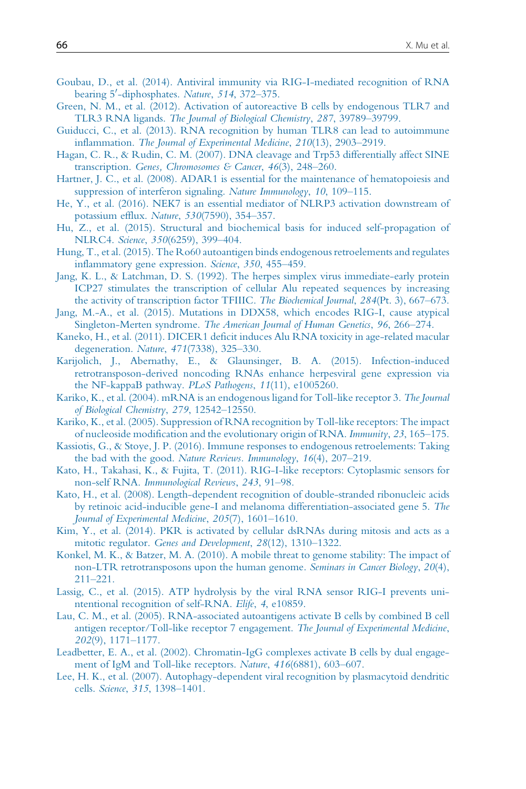- <span id="page-19-0"></span>[Goubau, D., et al. \(2014\). Antiviral immunity via RIG-I-mediated recognition of RNA](http://refhub.elsevier.com/S0065-2776(16)30035-9/rf0180) [bearing 5](http://refhub.elsevier.com/S0065-2776(16)30035-9/rf0180)'[-diphosphates.](http://refhub.elsevier.com/S0065-2776(16)30035-9/rf0180) Nature, 514, 372-375.
- [Green, N. M., et al. \(2012\). Activation of autoreactive B cells by endogenous TLR7 and](http://refhub.elsevier.com/S0065-2776(16)30035-9/rf0185) TLR3 RNA ligands. [The Journal of Biological Chemistry](http://refhub.elsevier.com/S0065-2776(16)30035-9/rf0185), 287, 39789–39799.
- [Guiducci, C., et al. \(2013\). RNA recognition by human TLR8 can lead to autoimmune](http://refhub.elsevier.com/S0065-2776(16)30035-9/rf0190) inflammation. [The Journal of Experimental Medicine](http://refhub.elsevier.com/S0065-2776(16)30035-9/rf0190), 210(13), 2903–2919.
- [Hagan, C. R., & Rudin, C. M. \(2007\). DNA cleavage and Trp53 differentially affect SINE](http://refhub.elsevier.com/S0065-2776(16)30035-9/rf0195) transcription. [Genes, Chromosomes & Cancer](http://refhub.elsevier.com/S0065-2776(16)30035-9/rf0195), 46(3), 248-260.
- [Hartner, J. C., et al. \(2008\). ADAR1 is essential for the maintenance of hematopoiesis and](http://refhub.elsevier.com/S0065-2776(16)30035-9/rf0200) [suppression of interferon signaling.](http://refhub.elsevier.com/S0065-2776(16)30035-9/rf0200) Nature Immunology, 10, 109–115.
- [He, Y., et al. \(2016\). NEK7 is an essential mediator of NLRP3 activation downstream of](http://refhub.elsevier.com/S0065-2776(16)30035-9/rf0205) [potassium efflux.](http://refhub.elsevier.com/S0065-2776(16)30035-9/rf0205) Nature, 530(7590), 354–357.
- [Hu, Z., et al. \(2015\). Structural and biochemical basis for induced self-propagation of](http://refhub.elsevier.com/S0065-2776(16)30035-9/rf0210) NLRC4. Science, 350[\(6259\), 399](http://refhub.elsevier.com/S0065-2776(16)30035-9/rf0210)–404.
- [Hung, T., et al. \(2015\). The Ro60 autoantigen binds endogenous retroelements and regulates](http://refhub.elsevier.com/S0065-2776(16)30035-9/rf0215) [inflammatory gene expression.](http://refhub.elsevier.com/S0065-2776(16)30035-9/rf0215) Science, 350, 455-459.
- [Jang, K. L., & Latchman, D. S. \(1992\). The herpes simplex virus immediate-early protein](http://refhub.elsevier.com/S0065-2776(16)30035-9/rf0220) [ICP27 stimulates the transcription of cellular Alu repeated sequences by increasing](http://refhub.elsevier.com/S0065-2776(16)30035-9/rf0220) [the activity of transcription factor TFIIIC.](http://refhub.elsevier.com/S0065-2776(16)30035-9/rf0220) The Biochemical Journal, 284(Pt. 3), 667–673.
- [Jang, M.-A., et al. \(2015\). Mutations in DDX58, which encodes RIG-I, cause atypical](http://refhub.elsevier.com/S0065-2776(16)30035-9/rf0225) Singleton-Merten syndrome. [The American Journal of Human Genetics](http://refhub.elsevier.com/S0065-2776(16)30035-9/rf0225), 96, 266-274.
- [Kaneko, H., et al. \(2011\). DICER1 deficit induces Alu RNA toxicity in age-related macular](http://refhub.elsevier.com/S0065-2776(16)30035-9/rf0230) [degeneration.](http://refhub.elsevier.com/S0065-2776(16)30035-9/rf0230) Nature, 471(7338), 325–330.
- [Karijolich, J., Abernathy, E., & Glaunsinger, B. A. \(2015\). Infection-induced](http://refhub.elsevier.com/S0065-2776(16)30035-9/rf0235) [retrotransposon-derived noncoding RNAs enhance herpesviral gene expression via](http://refhub.elsevier.com/S0065-2776(16)30035-9/rf0235) [the NF-kappaB pathway.](http://refhub.elsevier.com/S0065-2776(16)30035-9/rf0235) PLoS Pathogens, 11(11), e1005260.
- [Kariko, K., et al. \(2004\). mRNA is an endogenous ligand for Toll-like receptor 3.](http://refhub.elsevier.com/S0065-2776(16)30035-9/rf0240) The Journal [of Biological Chemistry](http://refhub.elsevier.com/S0065-2776(16)30035-9/rf0240), 279, 12542–12550.
- Kariko, [K., et al. \(2005\). Suppression of RNA recognition by Toll-like receptors: The impact](http://refhub.elsevier.com/S0065-2776(16)30035-9/rf0245) [of nucleoside modification and the evolutionary origin of RNA.](http://refhub.elsevier.com/S0065-2776(16)30035-9/rf0245) Immunity, 23, 165–175.
- [Kassiotis, G., & Stoye, J. P. \(2016\). Immune responses to endogenous retroelements: Taking](http://refhub.elsevier.com/S0065-2776(16)30035-9/rf0250) the bad with the good. [Nature Reviews. Immunology](http://refhub.elsevier.com/S0065-2776(16)30035-9/rf0250), 16(4), 207–219.
- [Kato, H., Takahasi, K., & Fujita, T. \(2011\). RIG-I-like receptors: Cytoplasmic sensors for](http://refhub.elsevier.com/S0065-2776(16)30035-9/rf0255) non-self RNA. [Immunological Reviews](http://refhub.elsevier.com/S0065-2776(16)30035-9/rf0255), 243, 91–98.
- [Kato, H., et al. \(2008\). Length-dependent recognition of double-stranded ribonucleic acids](http://refhub.elsevier.com/S0065-2776(16)30035-9/rf0260) [by retinoic acid-inducible gene-I and melanoma differentiation-associated gene 5.](http://refhub.elsevier.com/S0065-2776(16)30035-9/rf0260) The [Journal of Experimental Medicine](http://refhub.elsevier.com/S0065-2776(16)30035-9/rf0260), 205(7), 1601–1610.
- [Kim, Y., et al. \(2014\). PKR is activated by cellular dsRNAs during mitosis and acts as a](http://refhub.elsevier.com/S0065-2776(16)30035-9/rf0265) mitotic regulator. [Genes and Development](http://refhub.elsevier.com/S0065-2776(16)30035-9/rf0265), 28(12), 1310–1322.
- [Konkel, M. K., & Batzer, M. A. \(2010\). A mobile threat to genome stability: The impact of](http://refhub.elsevier.com/S0065-2776(16)30035-9/rf0270) [non-LTR retrotransposons upon the human genome.](http://refhub.elsevier.com/S0065-2776(16)30035-9/rf0270) Seminars in Cancer Biology, 20(4), 211–[221.](http://refhub.elsevier.com/S0065-2776(16)30035-9/rf0270)
- [Lassig, C., et al. \(2015\). ATP hydrolysis by the viral RNA sensor RIG-I prevents uni](http://refhub.elsevier.com/S0065-2776(16)30035-9/rf0275)[ntentional recognition of self-RNA.](http://refhub.elsevier.com/S0065-2776(16)30035-9/rf0275) Elife, 4, e10859.
- [Lau, C. M., et al. \(2005\). RNA-associated autoantigens activate B cells by combined B cell](http://refhub.elsevier.com/S0065-2776(16)30035-9/rf0280) [antigen receptor/Toll-like receptor 7 engagement.](http://refhub.elsevier.com/S0065-2776(16)30035-9/rf0280) The Journal of Experimental Medicine, 202[\(9\), 1171](http://refhub.elsevier.com/S0065-2776(16)30035-9/rf0280)–1177.
- [Leadbetter, E. A., et al. \(2002\). Chromatin-IgG complexes activate B cells by dual engage](http://refhub.elsevier.com/S0065-2776(16)30035-9/rf0285)[ment of IgM and Toll-like receptors.](http://refhub.elsevier.com/S0065-2776(16)30035-9/rf0285) Nature, 416(6881), 603–607.
- [Lee, H. K., et al. \(2007\). Autophagy-dependent viral recognition by plasmacytoid dendritic](http://refhub.elsevier.com/S0065-2776(16)30035-9/rf0290) cells. Science, 315[, 1398](http://refhub.elsevier.com/S0065-2776(16)30035-9/rf0290)–1401.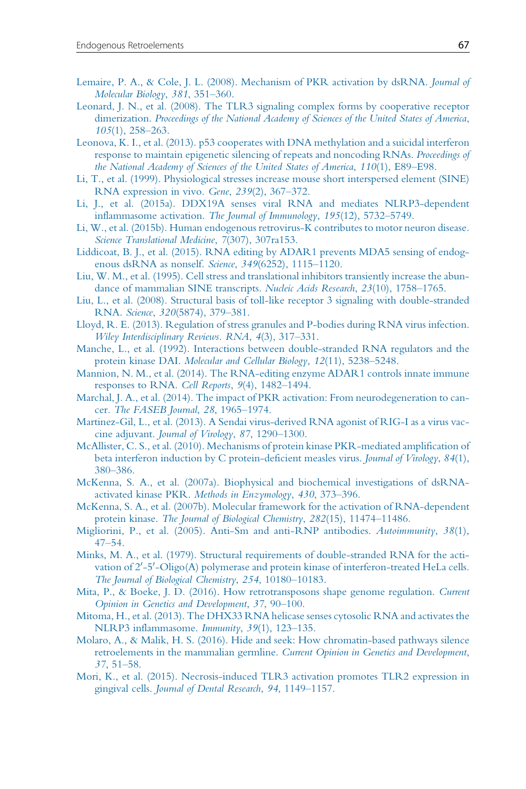- <span id="page-20-0"></span>[Lemaire, P. A., & Cole, J. L. \(2008\). Mechanism of PKR activation by dsRNA.](http://refhub.elsevier.com/S0065-2776(16)30035-9/rf0295) Journal of [Molecular Biology](http://refhub.elsevier.com/S0065-2776(16)30035-9/rf0295), 381, 351–360.
- [Leonard, J. N., et al. \(2008\). The TLR3 signaling complex forms by cooperative receptor](http://refhub.elsevier.com/S0065-2776(16)30035-9/rf0300) dimerization. [Proceedings of the National Academy of Sciences of the United States of America](http://refhub.elsevier.com/S0065-2776(16)30035-9/rf0300), 105[\(1\), 258](http://refhub.elsevier.com/S0065-2776(16)30035-9/rf0300)–263.
- [Leonova, K. I., et al. \(2013\). p53 cooperates with DNA methylation and a suicidal interferon](http://refhub.elsevier.com/S0065-2776(16)30035-9/rf0305) [response to maintain epigenetic silencing of repeats and noncoding RNAs.](http://refhub.elsevier.com/S0065-2776(16)30035-9/rf0305) Proceedings of [the National Academy of Sciences of the United States of America](http://refhub.elsevier.com/S0065-2776(16)30035-9/rf0305), 110(1), E89–E98.
- [Li, T., et al. \(1999\). Physiological stresses increase mouse short interspersed element \(SINE\)](http://refhub.elsevier.com/S0065-2776(16)30035-9/rf0310) [RNA expression in vivo.](http://refhub.elsevier.com/S0065-2776(16)30035-9/rf0310) Gene, 239(2), 367–372.
- [Li, J., et al. \(2015a\). DDX19A senses viral RNA and mediates NLRP3-dependent](http://refhub.elsevier.com/S0065-2776(16)30035-9/rf0315) [inflammasome activation.](http://refhub.elsevier.com/S0065-2776(16)30035-9/rf0315) The Journal of Immunology, 195(12), 5732–5749.
- [Li, W., et al. \(2015b\). Human endogenous retrovirus-K contributes to motor neuron disease.](http://refhub.elsevier.com/S0065-2776(16)30035-9/rf0320) [Science Translational Medicine](http://refhub.elsevier.com/S0065-2776(16)30035-9/rf0320), 7(307), 307ra153.
- [Liddicoat, B. J., et al. \(2015\). RNA editing by ADAR1 prevents MDA5 sensing of endog](http://refhub.elsevier.com/S0065-2776(16)30035-9/rf0325)[enous dsRNA as nonself.](http://refhub.elsevier.com/S0065-2776(16)30035-9/rf0325) Science, 349(6252), 1115–1120.
- [Liu, W. M., et al. \(1995\). Cell stress and translational inhibitors transiently increase the abun](http://refhub.elsevier.com/S0065-2776(16)30035-9/rf0330)[dance of mammalian SINE transcripts.](http://refhub.elsevier.com/S0065-2776(16)30035-9/rf0330) Nucleic Acids Research, 23(10), 1758-1765.
- [Liu, L., et al. \(2008\). Structural basis of toll-like receptor 3 signaling with double-stranded](http://refhub.elsevier.com/S0065-2776(16)30035-9/rf0335) RNA. Science, 320[\(5874\), 379](http://refhub.elsevier.com/S0065-2776(16)30035-9/rf0335)–381.
- [Lloyd, R. E. \(2013\). Regulation of stress granules and P-bodies during RNA virus infection.](http://refhub.elsevier.com/S0065-2776(16)30035-9/rf0340) [Wiley Interdisciplinary Reviews. RNA](http://refhub.elsevier.com/S0065-2776(16)30035-9/rf0340), 4(3), 317–331.
- [Manche, L., et al. \(1992\). Interactions between double-stranded RNA regulators and the](http://refhub.elsevier.com/S0065-2776(16)30035-9/rf0345) protein kinase DAI. [Molecular and Cellular Biology](http://refhub.elsevier.com/S0065-2776(16)30035-9/rf0345), 12(11), 5238–5248.
- [Mannion, N. M., et al. \(2014\). The RNA-editing enzyme ADAR1 controls innate immune](http://refhub.elsevier.com/S0065-2776(16)30035-9/rf0350) [responses to RNA.](http://refhub.elsevier.com/S0065-2776(16)30035-9/rf0350) Cell Reports, 9(4), 1482–1494.
- [Marchal, J. A., et al. \(2014\). The impact of PKR activation: From neurodegeneration to can](http://refhub.elsevier.com/S0065-2776(16)30035-9/rf0355)cer. [The FASEB Journal](http://refhub.elsevier.com/S0065-2776(16)30035-9/rf0355), 28, 1965–1974.
- [Martinez-Gil, L., et al. \(2013\). A Sendai virus-derived RNA agonist of RIG-I as a virus vac](http://refhub.elsevier.com/S0065-2776(16)30035-9/rf0360)cine adjuvant. [Journal of Virology](http://refhub.elsevier.com/S0065-2776(16)30035-9/rf0360), 87, 1290–1300.
- [McAllister, C. S., et al. \(2010\). Mechanisms of protein kinase PKR-mediated amplification of](http://refhub.elsevier.com/S0065-2776(16)30035-9/rf0365) [beta interferon induction by C protein-deficient measles virus.](http://refhub.elsevier.com/S0065-2776(16)30035-9/rf0365) Journal of Virology, 84(1), 380–[386.](http://refhub.elsevier.com/S0065-2776(16)30035-9/rf0365)
- [McKenna, S. A., et al. \(2007a\). Biophysical and biochemical investigations of dsRNA](http://refhub.elsevier.com/S0065-2776(16)30035-9/rf0370)activated kinase PKR. [Methods in Enzymology](http://refhub.elsevier.com/S0065-2776(16)30035-9/rf0370), 430, 373–396.
- [McKenna, S. A., et al. \(2007b\). Molecular framework for the activation of RNA-dependent](http://refhub.elsevier.com/S0065-2776(16)30035-9/rf0375) protein kinase. [The Journal of Biological Chemistry](http://refhub.elsevier.com/S0065-2776(16)30035-9/rf0375), 282(15), 11474-11486.
- [Migliorini, P., et al. \(2005\). Anti-Sm and anti-RNP antibodies.](http://refhub.elsevier.com/S0065-2776(16)30035-9/rf0380) Autoimmunity, 38(1), 47–[54.](http://refhub.elsevier.com/S0065-2776(16)30035-9/rf0380)
- [Minks, M. A., et al. \(1979\). Structural requirements of double-stranded RNA for the acti](http://refhub.elsevier.com/S0065-2776(16)30035-9/rf0385)[vation of 2](http://refhub.elsevier.com/S0065-2776(16)30035-9/rf0385)'[-5](http://refhub.elsevier.com/S0065-2776(16)30035-9/rf0385)'[-Oligo\(A\) polymerase and protein kinase of interferon-treated HeLa cells.](http://refhub.elsevier.com/S0065-2776(16)30035-9/rf0385) [The Journal of Biological Chemistry](http://refhub.elsevier.com/S0065-2776(16)30035-9/rf0385), 254, 10180–10183.
- [Mita, P., & Boeke, J. D. \(2016\). How retrotransposons shape genome regulation.](http://refhub.elsevier.com/S0065-2776(16)30035-9/rf0390) Current [Opinion in Genetics and Development](http://refhub.elsevier.com/S0065-2776(16)30035-9/rf0390), 37, 90–100.
- [Mitoma, H., et al. \(2013\). The DHX33 RNA helicase senses cytosolic RNA and activates the](http://refhub.elsevier.com/S0065-2776(16)30035-9/rf0395) [NLRP3 inflammasome.](http://refhub.elsevier.com/S0065-2776(16)30035-9/rf0395) Immunity, 39(1), 123–135.
- [Molaro, A., & Malik, H. S. \(2016\). Hide and seek: How chromatin-based pathways silence](http://refhub.elsevier.com/S0065-2776(16)30035-9/rf0400) retroelements in the mammalian germline. [Current Opinion in Genetics and Development](http://refhub.elsevier.com/S0065-2776(16)30035-9/rf0400), 37[, 51](http://refhub.elsevier.com/S0065-2776(16)30035-9/rf0400)–58.
- [Mori, K., et al. \(2015\). Necrosis-induced TLR3 activation promotes TLR2 expression in](http://refhub.elsevier.com/S0065-2776(16)30035-9/rf0405) gingival cells. [Journal of Dental Research](http://refhub.elsevier.com/S0065-2776(16)30035-9/rf0405), 94, 1149–1157.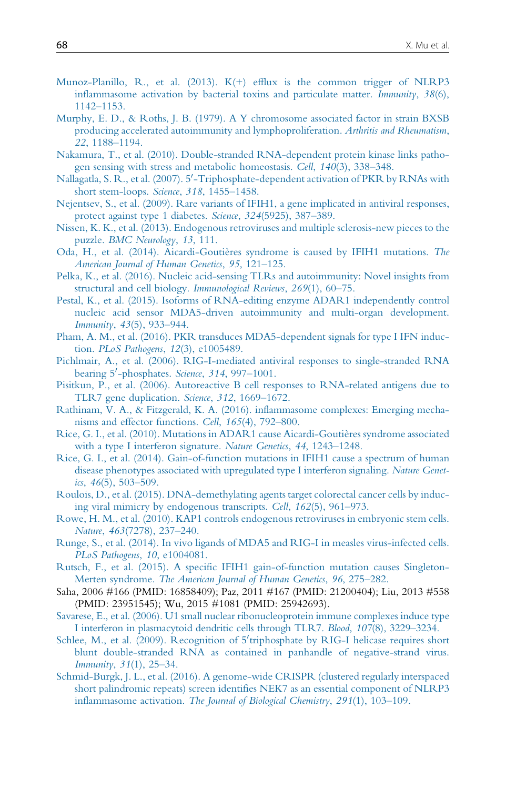- <span id="page-21-0"></span>[Munoz-Planillo, R., et al. \(2013\). K\(+\) efflux is the common trigger of NLRP3](http://refhub.elsevier.com/S0065-2776(16)30035-9/rf0410) [inflammasome activation by bacterial toxins and particulate matter.](http://refhub.elsevier.com/S0065-2776(16)30035-9/rf0410) *Immunity*,  $38(6)$ , 1142–[1153.](http://refhub.elsevier.com/S0065-2776(16)30035-9/rf0410)
- [Murphy, E. D., & Roths, J. B. \(1979\). A Y chromosome associated factor in strain BXSB](http://refhub.elsevier.com/S0065-2776(16)30035-9/rf0415) [producing accelerated autoimmunity and lymphoproliferation.](http://refhub.elsevier.com/S0065-2776(16)30035-9/rf0415) Arthritis and Rheumatism, 22[, 1188](http://refhub.elsevier.com/S0065-2776(16)30035-9/rf0415)–1194.
- [Nakamura, T., et al. \(2010\). Double-stranded RNA-dependent protein kinase links patho](http://refhub.elsevier.com/S0065-2776(16)30035-9/rf0420)[gen sensing with stress and metabolic homeostasis.](http://refhub.elsevier.com/S0065-2776(16)30035-9/rf0420) Cell, 140(3), 338–348.
- [Nallagatla, S. R., et al. \(2007\). 5](http://refhub.elsevier.com/S0065-2776(16)30035-9/rf0425)'[-Triphosphate-dependent activation of PKR by RNAs with](http://refhub.elsevier.com/S0065-2776(16)30035-9/rf0425) [short stem-loops.](http://refhub.elsevier.com/S0065-2776(16)30035-9/rf0425) Science, 318, 1455–1458.
- [Nejentsev, S., et al. \(2009\). Rare variants of IFIH1, a gene implicated in antiviral responses,](http://refhub.elsevier.com/S0065-2776(16)30035-9/rf0430) [protect against type 1 diabetes.](http://refhub.elsevier.com/S0065-2776(16)30035-9/rf0430) Science, 324(5925), 387–389.
- [Nissen, K. K., et al. \(2013\). Endogenous retroviruses and multiple sclerosis-new pieces to the](http://refhub.elsevier.com/S0065-2776(16)30035-9/rf0435) puzzle. [BMC Neurology](http://refhub.elsevier.com/S0065-2776(16)30035-9/rf0435), 13, 111.
- Oda, H., et al. (2014). Aicardi-Goutières syndrome is caused by IFIH1 mutations. The [American Journal of Human Genetics](http://refhub.elsevier.com/S0065-2776(16)30035-9/rf0440), 95, 121–125.
- [Pelka, K., et al. \(2016\). Nucleic acid-sensing TLRs and autoimmunity: Novel insights from](http://refhub.elsevier.com/S0065-2776(16)30035-9/rf0445) [structural and cell biology.](http://refhub.elsevier.com/S0065-2776(16)30035-9/rf0445) Immunological Reviews, 269(1), 60–75.
- [Pestal, K., et al. \(2015\). Isoforms of RNA-editing enzyme ADAR1 independently control](http://refhub.elsevier.com/S0065-2776(16)30035-9/rf0450) [nucleic acid sensor MDA5-driven autoimmunity and multi-organ development.](http://refhub.elsevier.com/S0065-2776(16)30035-9/rf0450) [Immunity](http://refhub.elsevier.com/S0065-2776(16)30035-9/rf0450), 43(5), 933–944.
- [Pham, A. M., et al. \(2016\). PKR transduces MDA5-dependent signals for type I IFN induc](http://refhub.elsevier.com/S0065-2776(16)30035-9/rf0455)tion. [PLoS Pathogens](http://refhub.elsevier.com/S0065-2776(16)30035-9/rf0455), 12(3), e1005489.
- [Pichlmair, A., et al. \(2006\). RIG-I-mediated antiviral responses to single-stranded RNA](http://refhub.elsevier.com/S0065-2776(16)30035-9/rf0460) [bearing 5](http://refhub.elsevier.com/S0065-2776(16)30035-9/rf0460)'[-phosphates.](http://refhub.elsevier.com/S0065-2776(16)30035-9/rf0460) Science, 314, 997-1001.
- [Pisitkun, P., et al. \(2006\). Autoreactive B cell responses to RNA-related antigens due to](http://refhub.elsevier.com/S0065-2776(16)30035-9/rf0465) [TLR7 gene duplication.](http://refhub.elsevier.com/S0065-2776(16)30035-9/rf0465) Science, 312, 1669–1672.
- [Rathinam, V. A., & Fitzgerald, K. A. \(2016\). inflammasome complexes: Emerging mecha](http://refhub.elsevier.com/S0065-2776(16)30035-9/rf0470)[nisms and effector functions.](http://refhub.elsevier.com/S0065-2776(16)30035-9/rf0470) Cell, 165(4), 792–800.
- Rice, G. I., et al. (2010). Mutations in ADAR1 cause Aicardi-Goutières syndrome associated [with a type I interferon signature.](http://refhub.elsevier.com/S0065-2776(16)30035-9/rf0475) Nature Genetics, 44, 1243–1248.
- [Rice, G. I., et al. \(2014\). Gain-of-function mutations in IFIH1 cause a spectrum of human](http://refhub.elsevier.com/S0065-2776(16)30035-9/rf0480) [disease phenotypes associated with upregulated type I interferon signaling.](http://refhub.elsevier.com/S0065-2776(16)30035-9/rf0480) Nature Genetics, 46[\(5\), 503](http://refhub.elsevier.com/S0065-2776(16)30035-9/rf0480)–509.
- [Roulois, D., et al. \(2015\). DNA-demethylating agents target colorectal cancer cells by induc](http://refhub.elsevier.com/S0065-2776(16)30035-9/rf0485)[ing viral mimicry by endogenous transcripts.](http://refhub.elsevier.com/S0065-2776(16)30035-9/rf0485) Cell, 162(5), 961–973.
- [Rowe, H. M., et al. \(2010\). KAP1 controls endogenous retroviruses in embryonic stem cells.](http://refhub.elsevier.com/S0065-2776(16)30035-9/rf0490) Nature, 463[\(7278\), 237](http://refhub.elsevier.com/S0065-2776(16)30035-9/rf0490)–240.
- [Runge, S., et al. \(2014\). In vivo ligands of MDA5 and RIG-I in measles virus-infected cells.](http://refhub.elsevier.com/S0065-2776(16)30035-9/rf0495) [PLoS Pathogens](http://refhub.elsevier.com/S0065-2776(16)30035-9/rf0495), 10, e1004081.
- [Rutsch, F., et al. \(2015\). A specific IFIH1 gain-of-function mutation causes Singleton-](http://refhub.elsevier.com/S0065-2776(16)30035-9/rf0500)Merten syndrome. [The American Journal of Human Genetics](http://refhub.elsevier.com/S0065-2776(16)30035-9/rf0500), 96, 275–282.
- Saha, 2006 #166 (PMID: 16858409); Paz, 2011 #167 (PMID: 21200404); Liu, 2013 #558 (PMID: 23951545); Wu, 2015 #1081 (PMID: 25942693).
- [Savarese, E., et al. \(2006\). U1 small nuclear ribonucleoprotein immune complexes induce type](http://refhub.elsevier.com/S0065-2776(16)30035-9/rf0505) I [interferon in plasmacytoid dendritic cells through TLR7.](http://refhub.elsevier.com/S0065-2776(16)30035-9/rf0505) Blood, 107(8), 3229–3234.
- [Schlee, M., et al. \(2009\). Recognition of 5](http://refhub.elsevier.com/S0065-2776(16)30035-9/rf0510)'[triphosphate by RIG-I helicase requires short](http://refhub.elsevier.com/S0065-2776(16)30035-9/rf0510) [blunt double-stranded RNA as contained in panhandle of negative-strand virus.](http://refhub.elsevier.com/S0065-2776(16)30035-9/rf0510) [Immunity](http://refhub.elsevier.com/S0065-2776(16)30035-9/rf0510), 31(1), 25–34.
- [Schmid-Burgk, J. L., et al. \(2016\). A genome-wide CRISPR \(clustered regularly interspaced](http://refhub.elsevier.com/S0065-2776(16)30035-9/rf0515) [short palindromic repeats\) screen identifies NEK7 as an essential component of NLRP3](http://refhub.elsevier.com/S0065-2776(16)30035-9/rf0515) inflammasome activation. [The Journal of Biological Chemistry](http://refhub.elsevier.com/S0065-2776(16)30035-9/rf0515), 291(1), 103–109.